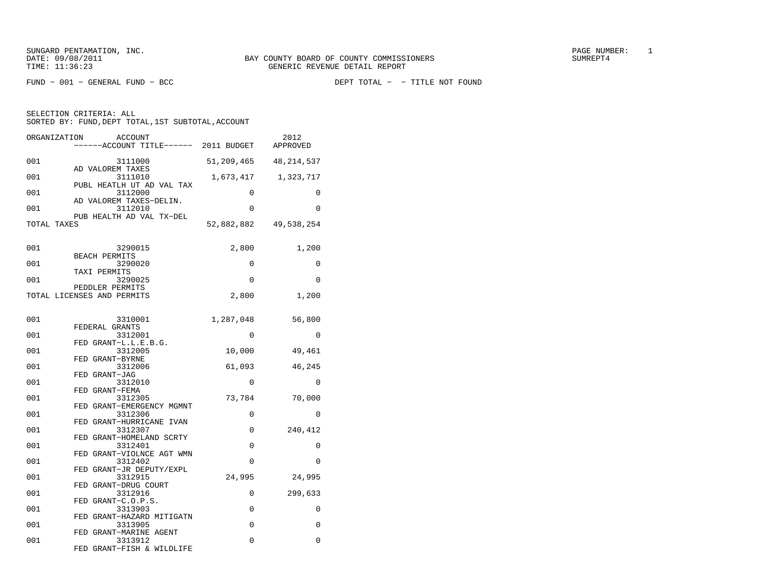FUND − 001 − GENERAL FUND − BCC DEPT TOTAL − − TITLE NOT FOUND

| ORGANIZATION | <b>ACCOUNT</b><br>----ACCOUNT TITLE------ 2011 BUDGET    |            | 2012<br>APPROVED |
|--------------|----------------------------------------------------------|------------|------------------|
| 001          | 3111000                                                  | 51,209,465 | 48, 214, 537     |
| 001          | AD VALOREM TAXES<br>3111010<br>PUBL HEATLH UT AD VAL TAX | 1,673,417  | 1,323,717        |
| 001          | 3112000<br>AD VALOREM TAXES-DELIN.                       | 0          | 0                |
| 001          | 3112010<br>PUB HEALTH AD VAL TX-DEL                      | $\Omega$   | $\Omega$         |
| TOTAL TAXES  |                                                          | 52,882,882 | 49,538,254       |
| 001          | 3290015                                                  | 2,800      | 1,200            |
| 001          | BEACH PERMITS<br>3290020                                 | 0          | 0                |
| 001          | TAXI PERMITS<br>3290025                                  | $\Omega$   | $\Omega$         |
|              | PEDDLER PERMITS<br>TOTAL LICENSES AND PERMITS            | 2,800      | 1,200            |
| 001          | 3310001                                                  | 1,287,048  | 56,800           |
| 001          | FEDERAL GRANTS<br>3312001                                | $\Omega$   | $\Omega$         |
| 001          | FED GRANT-L.L.E.B.G.<br>3312005                          | 10,000     | 49,461           |
| 001          | FED GRANT-BYRNE<br>3312006                               | 61,093     | 46,245           |
| 001          | FED GRANT-JAG<br>3312010                                 | 0          | $\Omega$         |
| 001          | FED GRANT-FEMA<br>3312305<br>FED GRANT-EMERGENCY MGMNT   | 73,784     | 70,000           |
| 001          | 3312306<br>FED GRANT-HURRICANE IVAN                      | $\Omega$   | $\Omega$         |
| 001          | 3312307<br>FED GRANT-HOMELAND SCRTY                      | $\Omega$   | 240,412          |
| 001          | 3312401<br>FED GRANT-VIOLNCE AGT WMN                     | 0          | 0                |
| 001          | 3312402<br>FED GRANT-JR DEPUTY/EXPL                      | 0          | 0                |
| 001          | 3312915<br>FED GRANT-DRUG COURT                          | 24,995     | 24,995           |
| 001          | 3312916<br>FED GRANT-C.O.P.S.                            | 0          | 299,633          |
| 001          | 3313903<br>FED GRANT-HAZARD MITIGATN                     | 0          | 0                |
| 001          | 3313905<br>FED GRANT-MARINE AGENT                        | 0          | 0                |
| 001          | 3313912<br>FED GRANT-FISH & WILDLIFE                     | 0          | 0                |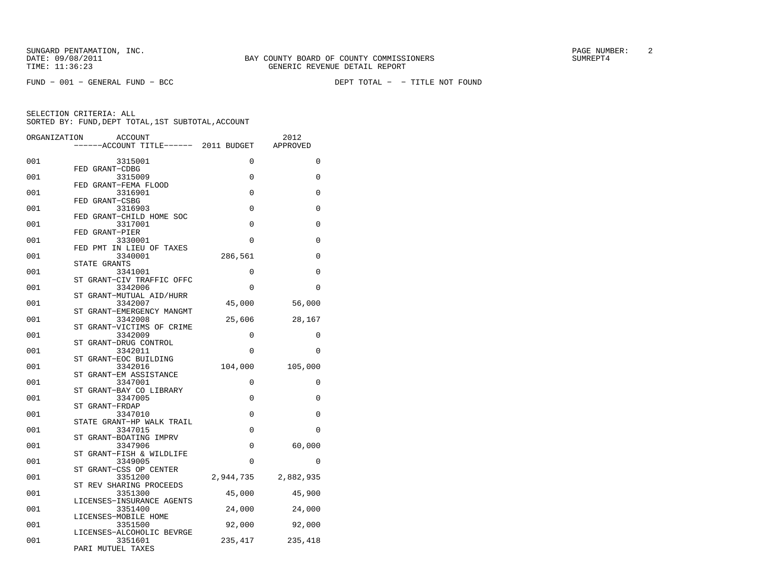FUND − 001 − GENERAL FUND − BCC DEPT TOTAL − − TITLE NOT FOUND

| ORGANIZATION | ACCOUNT                              |           | 2012      |
|--------------|--------------------------------------|-----------|-----------|
|              | ----ACCOUNT TITLE------ 2011 BUDGET  |           | APPROVED  |
| 001          | 3315001                              | $\Omega$  | $\Omega$  |
|              | FED GRANT-CDBG                       |           |           |
| 001          | 3315009                              | 0         | 0         |
| 001          | FED GRANT-FEMA FLOOD<br>3316901      | $\Omega$  | $\Omega$  |
|              | FED GRANT-CSBG                       |           |           |
| 001          | 3316903                              | $\Omega$  | $\Omega$  |
|              | FED GRANT-CHILD HOME SOC             |           |           |
| 001          | 3317001<br>FED GRANT-PIER            | 0         | 0         |
| 001          | 3330001                              | 0         | 0         |
|              | FED PMT IN LIEU OF TAXES             |           |           |
| 001          | 3340001                              | 286,561   | $\Omega$  |
|              | STATE GRANTS                         |           |           |
| 001          | 3341001<br>ST GRANT-CIV TRAFFIC OFFC | 0         | 0         |
| 001          | 3342006                              | 0         | $\Omega$  |
|              | ST GRANT-MUTUAL AID/HURR             |           |           |
| 001          | 3342007                              | 45,000    | 56,000    |
|              | ST GRANT-EMERGENCY MANGMT            |           |           |
| 001          | 3342008<br>ST GRANT-VICTIMS OF CRIME | 25,606    | 28,167    |
| 001          | 3342009                              | 0         | 0         |
|              | SТ<br>GRANT-DRUG CONTROL             |           |           |
| 001          | 3342011                              | $\Omega$  | $\Omega$  |
|              | ST<br>GRANT-EOC BUILDING             |           |           |
| 001          | 3342016                              | 104,000   | 105,000   |
| 001          | GRANT-EM ASSISTANCE<br>SТ<br>3347001 | 0         | 0         |
|              | ST GRANT-BAY CO LIBRARY              |           |           |
| 001          | 3347005                              | 0         | $\Omega$  |
|              | ST GRANT-FRDAP                       |           |           |
| 001          | 3347010                              | 0         | 0         |
| 001          | STATE GRANT-HP WALK TRAIL<br>3347015 | 0         | $\Omega$  |
|              | ST GRANT-BOATING IMPRV               |           |           |
| 001          | 3347906                              | $\Omega$  | 60,000    |
|              | GRANT-FISH & WILDLIFE<br>SТ          |           |           |
| 001          | 3349005                              | 0         | 0         |
| 001          | ST<br>GRANT-CSS OP CENTER<br>3351200 |           |           |
|              | ST REV SHARING PROCEEDS              | 2,944,735 | 2,882,935 |
| 001          | 3351300                              | 45,000    | 45,900    |
|              | LICENSES-INSURANCE AGENTS            |           |           |
| 001          | 3351400                              | 24,000    | 24,000    |
|              | LICENSES-MOBILE HOME                 |           |           |
| 001          | 3351500<br>LICENSES-ALCOHOLIC BEVRGE | 92,000    | 92,000    |
| 001          | 3351601                              | 235,417   | 235,418   |
|              | PARI MUTUEL TAXES                    |           |           |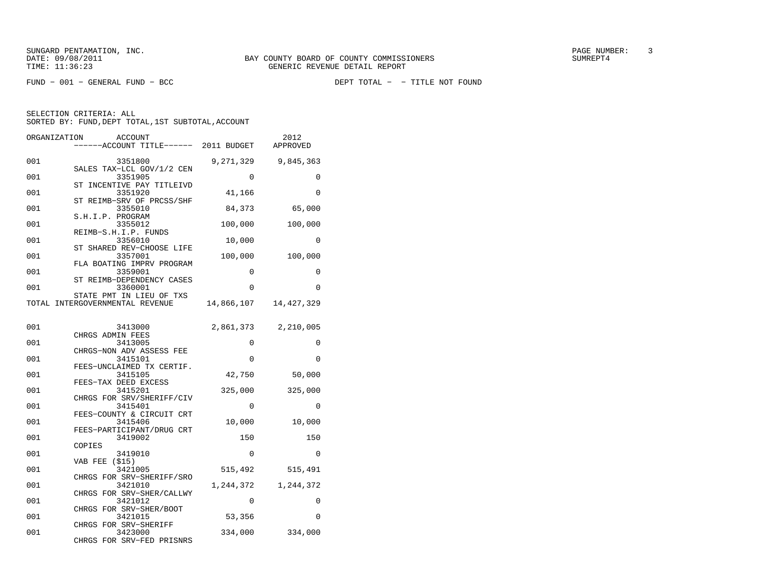FUND − 001 − GENERAL FUND − BCC DEPT TOTAL − − TITLE NOT FOUND

| ORGANIZATION | <b>ACCOUNT</b><br>----ACCOUNT TITLE------ 2011 BUDGET         |             | 2012<br>APPROVED        |
|--------------|---------------------------------------------------------------|-------------|-------------------------|
| 001          | 3351800<br>SALES TAX-LCL GOV/1/2 CEN                          |             | 9,271,329 9,845,363     |
| 001          | 3351905<br>ST INCENTIVE PAY TITLEIVD                          | $\Omega$    | $\Omega$                |
| 001          | 3351920<br>ST REIMB-SRV OF PRCSS/SHF                          | 41,166      | $\Omega$                |
| 001          | 3355010<br>S.H.I.P. PROGRAM                                   | 84,373      | 65,000                  |
| 001          | 3355012<br>REIMB-S.H.I.P. FUNDS                               | 100,000     | 100,000                 |
| 001          | 3356010<br>ST SHARED REV-CHOOSE LIFE                          | 10,000      | $\Omega$                |
| 001          | 3357001<br>FLA BOATING IMPRV PROGRAM                          | 100,000     | 100,000                 |
| 001          | 3359001<br>ST REIMB-DEPENDENCY CASES                          | 0           | 0                       |
| 001          | 3360001<br>STATE PMT IN LIEU OF TXS                           | $\Omega$    | $\Omega$                |
|              | TOTAL INTERGOVERNMENTAL REVENUE                               |             | 14,866,107   14,427,329 |
| 001          | 3413000<br>CHRGS ADMIN FEES                                   |             | 2,861,373 2,210,005     |
| 001          | 3413005<br>CHRGS-NON ADV ASSESS FEE                           | $\Omega$    | 0                       |
| 001          | 3415101<br>FEES-UNCLAIMED TX CERTIF.                          | 0           | $\Omega$                |
| 001          | 3415105                                                       | 42,750      | 50,000                  |
| 001          | FEES-TAX DEED EXCESS<br>3415201                               | 325,000     | 325,000                 |
| 001          | CHRGS FOR SRV/SHERIFF/CIV<br>3415401                          | $\mathbf 0$ | $\Omega$                |
| 001          | FEES-COUNTY & CIRCUIT CRT<br>3415406                          | 10,000      | 10,000                  |
| 001          | FEES-PARTICIPANT/DRUG CRT<br>3419002                          | 150         | 150                     |
| 001          | COPIES<br>3419010                                             | $\mathbf 0$ | 0                       |
| 001          | <b>VAB FEE (\$15)</b><br>3421005                              | 515,492     | 515,491                 |
| 001          | CHRGS FOR SRV-SHERIFF/SRO<br>3421010                          |             | 1, 244, 372 1, 244, 372 |
| 001          | CHRGS FOR SRV-SHER/CALLWY<br>3421012                          | 0           | 0                       |
| 001          | CHRGS FOR SRV-SHER/BOOT<br>3421015                            | 53,356      | $\Omega$                |
| 001          | CHRGS FOR SRV-SHERIFF<br>3423000<br>CHRGS FOR SRV-FED PRISNRS | 334,000     | 334,000                 |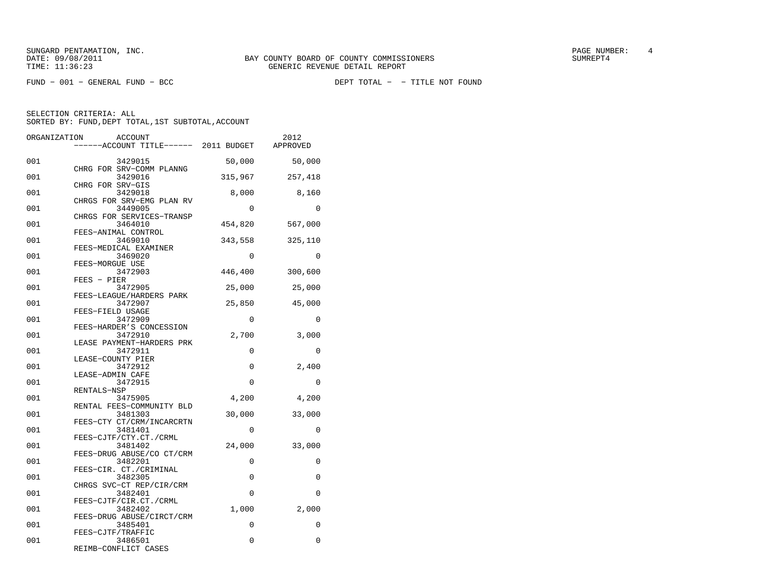SUNGARD PENTAMATION, INC.<br>
BAY COUNTY BOARD OF COUNTY COMMISSIONERS AND SUNREPT4 SUMREPT4

FUND − 001 − GENERAL FUND − BCC DEPT TOTAL − − TITLE NOT FOUND

| ORGANIZATION | <b>ACCOUNT</b><br>------ACCOUNT TITLE------ 2011 BUDGET  |             | 2012<br>APPROVED |
|--------------|----------------------------------------------------------|-------------|------------------|
| 001          | 3429015                                                  | 50,000      | 50,000           |
| 001          | CHRG FOR SRV-COMM PLANNG<br>3429016                      | 315,967     | 257,418          |
| 001          | CHRG FOR SRV-GIS<br>3429018<br>CHRGS FOR SRV-EMG PLAN RV | 8,000       | 8,160            |
| 001          | 3449005<br>CHRGS FOR SERVICES-TRANSP                     | 0           | $\Omega$         |
| 001          | 3464010<br>FEES-ANIMAL CONTROL                           | 454,820     | 567,000          |
| 001          | 3469010<br>FEES-MEDICAL EXAMINER                         | 343,558     | 325,110          |
| 001          | 3469020<br>FEES-MORGUE USE                               | $\Omega$    | 0                |
| 001          | 3472903<br>FEES - PIER                                   | 446,400     | 300,600          |
| 001          | 3472905<br>FEES-LEAGUE/HARDERS PARK                      | 25,000      | 25,000           |
| 001          | 3472907<br>FEES-FIELD USAGE                              | 25,850      | 45,000           |
| 001          | 3472909<br>FEES-HARDER'S CONCESSION                      | 0           | 0                |
| 001          | 3472910<br>LEASE PAYMENT-HARDERS PRK                     | 2,700       | 3,000            |
| 001          | 3472911<br>LEASE-COUNTY PIER                             | $\mathbf 0$ | 0                |
| 001          | 3472912<br>LEASE-ADMIN CAFE                              | $\Omega$    | 2,400            |
| 001          | 3472915<br>RENTALS-NSP                                   | $\mathbf 0$ | $\mathbf 0$      |
| 001          | 3475905<br>RENTAL FEES-COMMUNITY BLD                     | 4,200       | 4,200            |
| 001          | 3481303<br>FEES-CTY CT/CRM/INCARCRTN                     | 30,000      | 33,000           |
| 001          | 3481401<br>FEES-CJTF/CTY.CT./CRML                        | 0           | $\Omega$         |
| 001          | 3481402<br>FEES-DRUG ABUSE/CO CT/CRM                     | 24,000      | 33,000           |
| 001          | 3482201<br>FEES-CIR. CT./CRIMINAL                        | $\mathbf 0$ | 0                |
| 001          | 3482305<br>CHRGS SVC-CT REP/CIR/CRM                      | 0           | 0                |
| 001          | 3482401<br>FEES-CJTF/CIR.CT./CRML                        | $\mathbf 0$ | 0                |
| 001          | 3482402<br>FEES-DRUG ABUSE/CIRCT/CRM                     | 1,000       | 2,000            |
| 001          | 3485401<br>FEES-CJTF/TRAFFIC                             | 0           | 0                |
| 001          | 3486501<br>REIMB-CONFLICT CASES                          | 0           | $\Omega$         |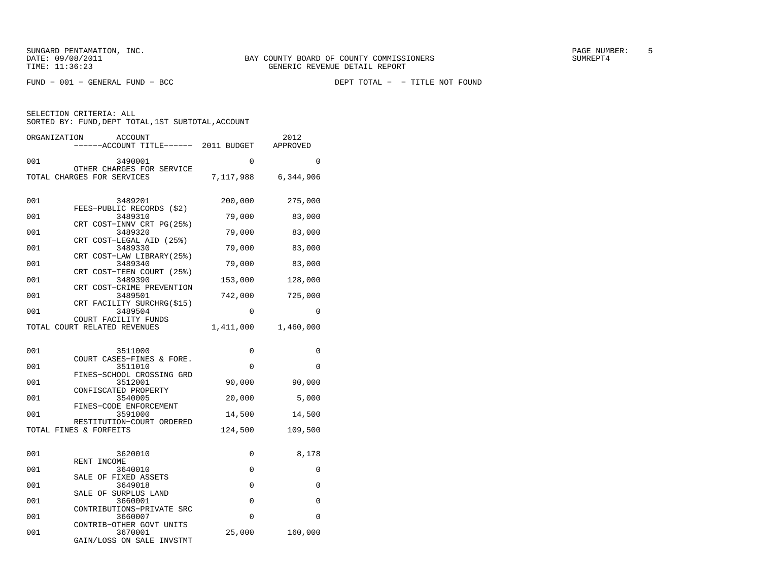FUND − 001 − GENERAL FUND − BCC DEPT TOTAL − − TITLE NOT FOUND

| ORGANIZATION<br><b>ACCOUNT</b><br>------ACCOUNT TITLE------ 2011 BUDGET |           | 2012<br>APPROVED |
|-------------------------------------------------------------------------|-----------|------------------|
| 001<br>3490001                                                          | $\Omega$  | $\Omega$         |
| OTHER CHARGES FOR SERVICE                                               |           |                  |
| TOTAL CHARGES FOR SERVICES                                              | 7,117,988 | 6,344,906        |
| 001<br>3489201<br>FEES-PUBLIC RECORDS (\$2)                             | 200,000   | 275,000          |
| 3489310<br>001                                                          | 79,000    | 83,000           |
| CRT COST-INNV CRT PG(25%)<br>001<br>3489320                             | 79,000    | 83,000           |
| CRT COST-LEGAL AID (25%)<br>001<br>3489330                              | 79,000    | 83,000           |
| CRT COST-LAW LIBRARY (25%)<br>001<br>3489340                            | 79,000    | 83,000           |
| CRT COST-TEEN COURT (25%)<br>001<br>3489390                             | 153,000   | 128,000          |
| CRT COST-CRIME PREVENTION                                               |           |                  |
| 001<br>3489501<br>CRT FACILITY SURCHRG(\$15)                            | 742,000   | 725,000          |
| 001<br>3489504<br>COURT FACILITY FUNDS                                  | 0         | 0                |
| TOTAL COURT RELATED REVENUES                                            | 1,411,000 | 1,460,000        |
|                                                                         |           |                  |
| 001<br>3511000<br>COURT CASES-FINES & FORE.                             | 0         | 0                |
| 001<br>3511010<br>FINES-SCHOOL CROSSING GRD                             | 0         | 0                |
| 001<br>3512001                                                          | 90,000    | 90,000           |
| CONFISCATED PROPERTY<br>001<br>3540005                                  | 20,000    | 5,000            |
| FINES-CODE ENFORCEMENT<br>3591000<br>001                                | 14,500    | 14,500           |
| RESTITUTION-COURT ORDERED<br>TOTAL FINES & FORFEITS                     | 124,500   | 109,500          |
|                                                                         |           |                  |
| 001<br>3620010                                                          | 0         | 8,178            |
| RENT INCOME<br>001<br>3640010                                           | 0         | 0                |
| SALE OF FIXED ASSETS<br>001<br>3649018                                  | 0         | 0                |
| SALE OF SURPLUS LAND<br>001<br>3660001                                  | 0         | 0                |
| CONTRIBUTIONS-PRIVATE SRC                                               |           |                  |
| 001<br>3660007<br>CONTRIB-OTHER GOVT UNITS                              | 0         | $\Omega$         |
| 001<br>3670001<br>GAIN/LOSS ON SALE INVSTMT                             | 25,000    | 160,000          |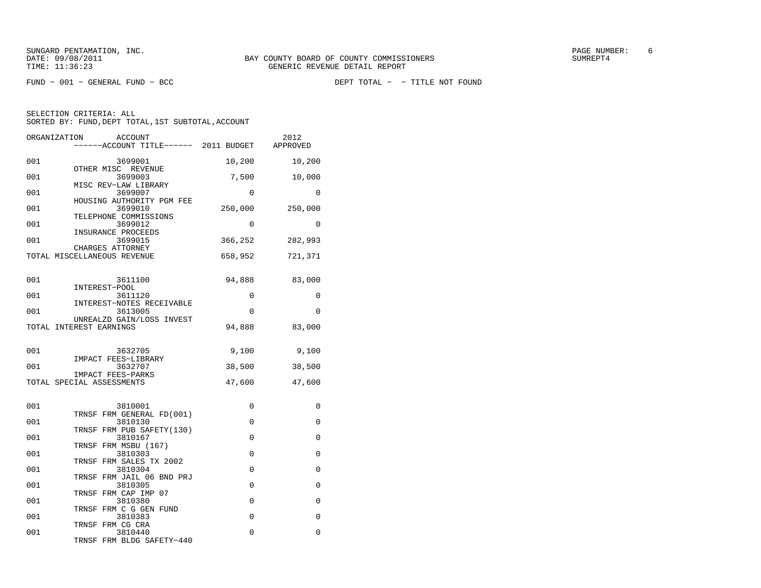FUND − 001 − GENERAL FUND − BCC DEPT TOTAL − − TITLE NOT FOUND

| ORGANIZATION                | <b>ACCOUNT</b><br>------ACCOUNT TITLE------ 2011 BUDGET APPROVED |             | 2012        |
|-----------------------------|------------------------------------------------------------------|-------------|-------------|
| 001                         | 3699001                                                          | 10,200      | 10,200      |
| 001                         | OTHER MISC REVENUE<br>3699003                                    | 7,500       | 10,000      |
| 001                         | MISC REV-LAW LIBRARY<br>3699007                                  | $\mathbf 0$ | 0           |
| 001                         | HOUSING AUTHORITY PGM FEE<br>3699010<br>TELEPHONE COMMISSIONS    | 250,000     | 250,000     |
| 001                         | 3699012<br>INSURANCE PROCEEDS                                    | 0           | 0           |
| 001                         | 3699015<br>CHARGES ATTORNEY                                      | 366,252     | 282,993     |
| TOTAL MISCELLANEOUS REVENUE |                                                                  | 658,952     | 721,371     |
| 001                         | 3611100                                                          | 94,888      | 83,000      |
| 001                         | INTEREST-POOL<br>3611120                                         | 0           | 0           |
| 001                         | INTEREST-NOTES RECEIVABLE<br>3613005                             | 0           | $\mathbf 0$ |
| TOTAL INTEREST EARNINGS     | UNREALZD GAIN/LOSS INVEST                                        | 94,888      | 83,000      |
| 001                         | 3632705                                                          | 9,100       | 9,100       |
| 001                         | IMPACT FEES-LIBRARY<br>3632707                                   | 38,500      | 38,500      |
| TOTAL SPECIAL ASSESSMENTS   | IMPACT FEES-PARKS                                                | 47,600      | 47,600      |
| 001                         | 3810001                                                          | 0           | 0           |
| 001                         | TRNSF FRM GENERAL FD(001)<br>3810130                             | $\mathbf 0$ | 0           |
| 001                         | TRNSF FRM PUB SAFETY(130)<br>3810167                             | $\Omega$    | 0           |
| 001                         | TRNSF FRM MSBU (167)<br>3810303                                  | $\Omega$    | $\Omega$    |
| 001                         | TRNSF FRM SALES TX 2002<br>3810304                               | 0           | 0           |
| 001                         | TRNSF FRM JAIL 06 BND PRJ<br>3810305                             | $\Omega$    | 0           |
| 001                         | TRNSF FRM CAP IMP 07<br>3810380                                  | 0           | 0           |
| 001                         | TRNSF FRM C G GEN FUND<br>3810383<br>TRNSF FRM CG CRA            | $\Omega$    | 0           |
| 001                         | 3810440<br>TRNSF FRM BLDG SAFETY-440                             | 0           | 0           |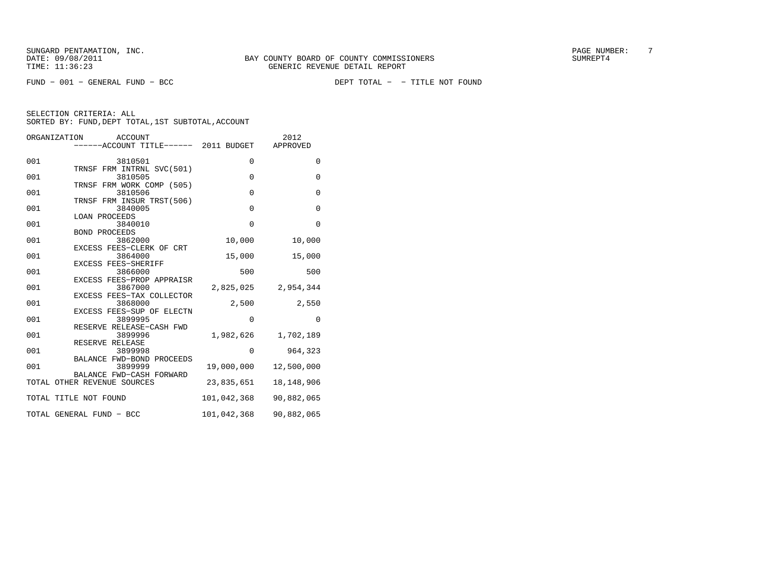FUND − 001 − GENERAL FUND − BCC DEPT TOTAL − − TITLE NOT FOUND

| ORGANIZATION | <b>ACCOUNT</b>                                          |             | 2012         |
|--------------|---------------------------------------------------------|-------------|--------------|
|              | ----ACCOUNT TITLE------ 2011 BUDGET                     |             | APPROVED     |
| 001          | 3810501                                                 | $\mathbf 0$ | 0            |
|              | TRNSF FRM INTRNL SVC(501)                               |             |              |
| 001          | 3810505                                                 | $\mathbf 0$ | $\mathbf{0}$ |
| 001          | TRNSF FRM WORK COMP (505)<br>3810506                    | $\Omega$    | $\mathbf{0}$ |
|              | TRNSF FRM INSUR TRST(506)                               |             |              |
| 001          | 3840005                                                 | $\Omega$    | $\mathbf 0$  |
|              | <b>LOAN PROCEEDS</b>                                    |             |              |
| 001          | 3840010                                                 | $\mathbf 0$ | $\Omega$     |
| 001          | <b>BOND PROCEEDS</b><br>3862000                         |             |              |
|              | EXCESS FEES-CLERK OF CRT                                | 10,000      | 10,000       |
| 001          | 3864000                                                 | 15,000      | 15,000       |
|              | EXCESS FEES-SHERIFF                                     |             |              |
| 001          | 3866000                                                 | 500         | 500          |
| 001          | EXCESS FEES-PROP APPRAISR<br>3867000                    | 2,825,025   | 2,954,344    |
|              | EXCESS FEES-TAX COLLECTOR                               |             |              |
| 001          | 3868000                                                 | 2,500       | 2,550        |
|              | EXCESS FEES-SUP OF ELECTN                               |             |              |
| 001          | 3899995                                                 | $\mathbf 0$ | $\mathbf 0$  |
|              | RESERVE RELEASE-CASH FWD                                |             |              |
| 001          | 3899996                                                 | 1,982,626   | 1,702,189    |
| 001          | RESERVE RELEASE<br>3899998                              | $\mathbf 0$ | 964,323      |
|              | BALANCE FWD-BOND PROCEEDS                               |             |              |
| 001          | 3899999                                                 | 19,000,000  | 12,500,000   |
|              | BALANCE FWD-CASH FORWARD<br>TOTAL OTHER REVENUE SOURCES | 23,835,651  | 18, 148, 906 |
|              |                                                         |             |              |
|              | TOTAL TITLE NOT FOUND                                   | 101,042,368 | 90,882,065   |
|              | TOTAL GENERAL FUND - BCC                                | 101,042,368 | 90,882,065   |
|              |                                                         |             |              |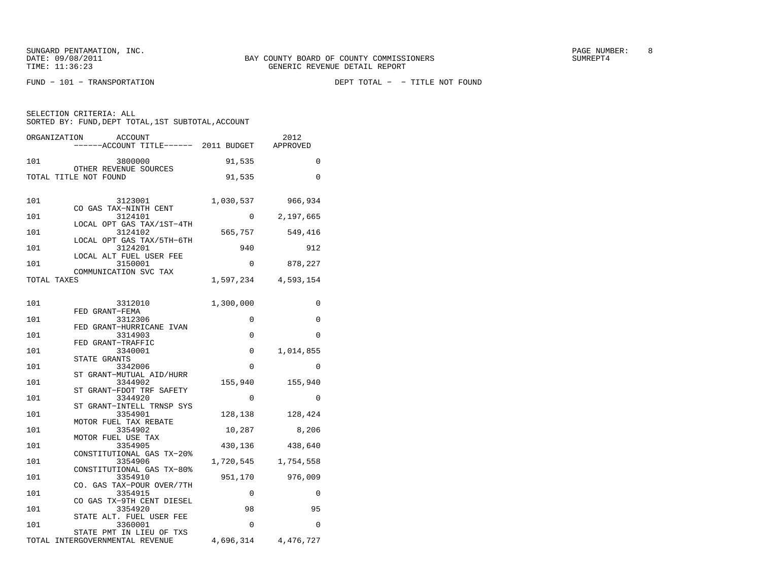SUNGARD PENTAMATION, INC. SUNGARD OF COUNTY BOARD OF COUNTY COMMISSIONERS SUNGARD PAGE NUMBER: 8 SUNGER: 8 SUNG

| ORGANIZATION<br><b>ACCOUNT</b><br>------ACCOUNT TITLE------ 2011 BUDGET |             | 2012<br>APPROVED     |
|-------------------------------------------------------------------------|-------------|----------------------|
| 101<br>3800000                                                          | 91,535      | $\mathbf 0$          |
| OTHER REVENUE SOURCES<br>TOTAL TITLE NOT FOUND                          | 91,535      | 0                    |
| 101<br>3123001<br>CO GAS TAX-NINTH CENT                                 |             | 1,030,537 966,934    |
| 3124101<br>101<br>LOCAL OPT GAS TAX/1ST-4TH                             |             | $0 \qquad 2,197,665$ |
| 101<br>3124102                                                          | 565,757     | 549,416              |
| LOCAL OPT GAS TAX/5TH-6TH<br>3124201<br>101                             | 940         | 912                  |
| LOCAL ALT FUEL USER FEE<br>3150001<br>101                               | $\mathbf 0$ | 878,227              |
| COMMUNICATION SVC TAX<br>TOTAL TAXES                                    | 1,597,234   | 4,593,154            |
|                                                                         |             |                      |
| 101<br>3312010                                                          | 1,300,000   | 0                    |
| FED GRANT-FEMA<br>101<br>3312306                                        | 0           | 0                    |
| FED GRANT-HURRICANE IVAN<br>101<br>3314903                              | 0           | 0                    |
| FED GRANT-TRAFFIC<br>101<br>3340001                                     | 0           | 1,014,855            |
| STATE GRANTS                                                            | 0           | 0                    |
| 101<br>3342006<br>ST GRANT-MUTUAL AID/HURR                              |             |                      |
| 3344902<br>101<br>ST GRANT-FDOT TRF SAFETY                              | 155,940     | 155,940              |
| 101<br>3344920<br>ST GRANT-INTELL TRNSP SYS                             | 0           | $\Omega$             |
| 101<br>3354901<br>MOTOR FUEL TAX REBATE                                 |             | 128, 138 128, 424    |
| 101<br>3354902                                                          | 10,287      | 8,206                |
| MOTOR FUEL USE TAX<br>101<br>3354905                                    | 430,136     | 438,640              |
| CONSTITUTIONAL GAS TX-20%<br>101<br>3354906                             | 1,720,545   | 1,754,558            |
| CONSTITUTIONAL GAS TX-80%<br>101<br>3354910                             | 951,170     | 976,009              |
| CO. GAS TAX-POUR OVER/7TH<br>3354915                                    |             |                      |
| 101<br>CO GAS TX-9TH CENT DIESEL                                        | 0           | $\mathbf 0$          |
| 101<br>3354920<br>STATE ALT. FUEL USER FEE                              | 98          | 95                   |
| 3360001<br>101<br>STATE PMT IN LIEU OF TXS                              | $\mathbf 0$ | $\Omega$             |
| TOTAL INTERGOVERNMENTAL REVENUE                                         | 4,696,314   | 4,476,727            |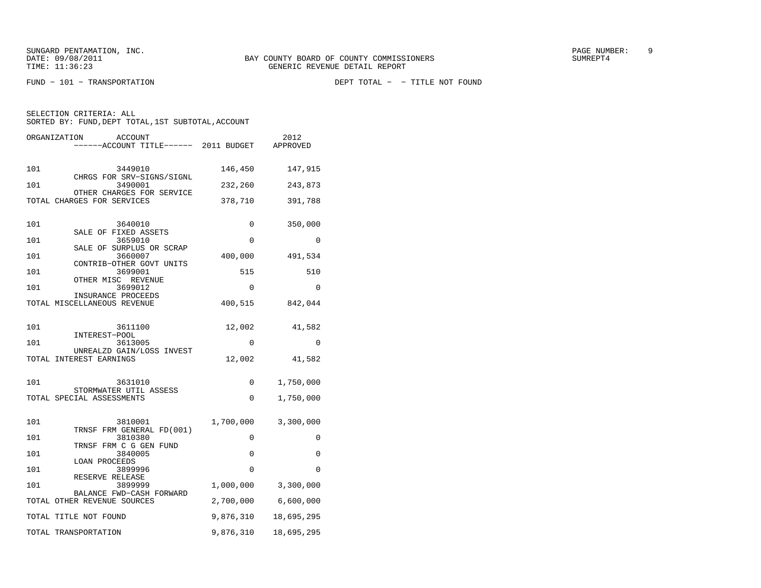FUND − 101 − TRANSPORTATION DEPT TOTAL − − TITLE NOT FOUND

SELECTION CRITERIA: ALLSORTED BY: FUND, DEPT TOTAL, 1ST SUBTOTAL, ACCOUNT

ORGANIZATION ACCOUNT 2012

|     | ------ACCOUNT TITLE------                               | 2011 BUDGET | APPROVED            |
|-----|---------------------------------------------------------|-------------|---------------------|
| 101 | 3449010                                                 | 146,450     | 147,915             |
| 101 | CHRGS FOR SRV-SIGNS/SIGNL<br>3490001                    | 232,260     | 243,873             |
|     | OTHER CHARGES FOR SERVICE<br>TOTAL CHARGES FOR SERVICES | 378,710     | 391,788             |
| 101 | 3640010                                                 | 0           | 350,000             |
| 101 | SALE OF FIXED ASSETS<br>3659010                         | 0           | 0                   |
| 101 | SALE OF SURPLUS OR SCRAP<br>3660007                     | 400,000     | 491,534             |
| 101 | CONTRIB-OTHER GOVT UNITS<br>3699001                     | 515         | 510                 |
| 101 | OTHER MISC REVENUE<br>3699012                           | $\Omega$    | $\Omega$            |
|     | INSURANCE PROCEEDS<br>TOTAL MISCELLANEOUS REVENUE       | 400,515     | 842,044             |
|     |                                                         |             |                     |
| 101 | 3611100                                                 | 12,002      | 41,582              |
| 101 | INTEREST-POOL<br>3613005                                | 0           | 0                   |
|     | UNREALZD GAIN/LOSS INVEST<br>TOTAL INTEREST EARNINGS    | 12,002      | 41,582              |
| 101 | 3631010                                                 | 0           | 1,750,000           |
|     | STORMWATER UTIL ASSESS<br>TOTAL SPECIAL ASSESSMENTS     | 0           | 1,750,000           |
|     |                                                         |             |                     |
| 101 | 3810001<br>TRNSF FRM GENERAL FD(001)                    |             | 1,700,000 3,300,000 |
| 101 | 3810380<br>TRNSF FRM C G GEN FUND                       | 0           | 0                   |
| 101 | 3840005<br>LOAN PROCEEDS                                | 0           | 0                   |
| 101 | 3899996<br>RESERVE RELEASE                              | $\Omega$    | $\Omega$            |
| 101 | 3899999<br>BALANCE FWD-CASH FORWARD                     | 1,000,000   | 3,300,000           |
|     | TOTAL OTHER REVENUE SOURCES                             |             | 2,700,000 6,600,000 |
|     | TOTAL TITLE NOT FOUND                                   | 9,876,310   | 18,695,295          |
|     | TOTAL TRANSPORTATION                                    | 9,876,310   | 18,695,295          |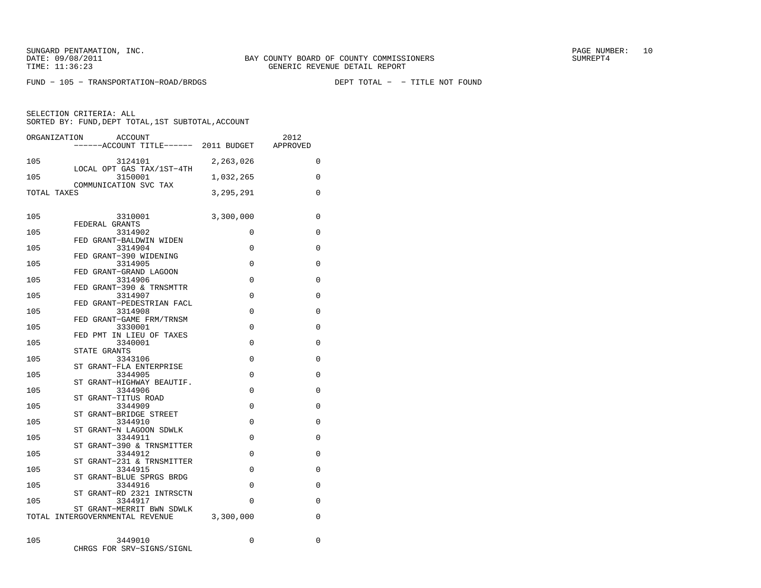FUND − 105 − TRANSPORTATION−ROAD/BRDGS DEPT TOTAL − − TITLE NOT FOUND

|             | ACCOUNT<br>ORGANIZATION<br>------ACCOUNT TITLE------ 2011 BUDGET APPROVED |             | 2012        |
|-------------|---------------------------------------------------------------------------|-------------|-------------|
| 105         | 3124101<br>LOCAL OPT GAS TAX/1ST-4TH                                      | 2,263,026   | 0           |
| 105         | 3150001<br>COMMUNICATION SVC TAX                                          | 1,032,265   | 0           |
| TOTAL TAXES |                                                                           | 3, 295, 291 | 0           |
| 105         | 3310001                                                                   | 3,300,000   | 0           |
| 105         | FEDERAL GRANTS<br>3314902                                                 | 0           | $\mathbf 0$ |
| 105         | FED GRANT-BALDWIN WIDEN<br>3314904                                        | 0           | 0           |
| 105         | FED GRANT-390 WIDENING<br>3314905                                         | $\Omega$    | 0           |
| 105         | FED GRANT-GRAND LAGOON<br>3314906                                         | 0           | 0           |
| 105         | FED GRANT-390 & TRNSMTTR<br>3314907                                       | $\Omega$    | 0           |
| 105         | FED GRANT-PEDESTRIAN FACL<br>3314908                                      | 0           | 0           |
| 105         | FED GRANT-GAME FRM/TRNSM<br>3330001                                       | 0           | 0           |
| 105         | FED PMT IN LIEU OF TAXES<br>3340001                                       | $\Omega$    | $\Omega$    |
| 105         | STATE GRANTS<br>3343106                                                   | $\Omega$    | $\Omega$    |
| 105         | ST GRANT-FLA ENTERPRISE<br>3344905                                        | 0           | 0           |
| 105         | ST GRANT-HIGHWAY BEAUTIF.<br>3344906                                      | 0           | 0           |
| 105         | ST GRANT-TITUS ROAD<br>3344909                                            | 0           | 0           |
| 105         | ST GRANT-BRIDGE STREET<br>3344910                                         | 0           | 0           |
| 105         | ST GRANT-N LAGOON SDWLK<br>3344911                                        | $\Omega$    | 0           |
| 105         | ST GRANT-390 & TRNSMITTER<br>3344912                                      | 0           | 0           |
|             | ST GRANT-231 & TRNSMITTER                                                 |             |             |
| 105         | 3344915<br>ST GRANT-BLUE SPRGS BRDG                                       | $\Omega$    | 0           |
| 105         | 3344916<br>ST GRANT-RD 2321 INTRSCTN                                      | 0           | 0           |
| 105         | 3344917<br>ST GRANT-MERRIT BWN SDWLK                                      | $\Omega$    | $\Omega$    |
|             | TOTAL INTERGOVERNMENTAL REVENUE                                           | 3,300,000   | $\Omega$    |
| 105         | 3449010<br>CHRGS FOR SRV-SIGNS/SIGNL                                      | 0           | 0           |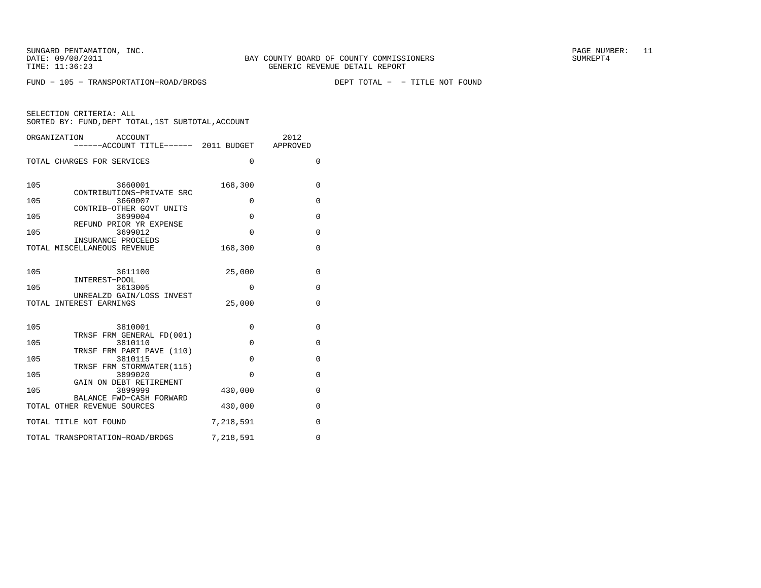FUND − 105 − TRANSPORTATION−ROAD/BRDGS DEPT TOTAL − − TITLE NOT FOUND

|     | ORGANIZATION<br>ACCOUNT<br>------ACCOUNT TITLE------ 2011 BUDGET APPROVED |             | 2012         |
|-----|---------------------------------------------------------------------------|-------------|--------------|
|     | TOTAL CHARGES FOR SERVICES                                                | $\Omega$    | $\Omega$     |
| 105 | 3660001<br>CONTRIBUTIONS-PRIVATE SRC                                      | 168,300     | $\mathbf{0}$ |
| 105 | 3660007                                                                   | $\Omega$    | $\Omega$     |
| 105 | CONTRIB-OTHER GOVT UNITS<br>3699004                                       | $\Omega$    | $\mathbf{0}$ |
| 105 | REFUND PRIOR YR EXPENSE<br>3699012                                        | $\Omega$    | $\mathbf{0}$ |
|     | INSURANCE PROCEEDS<br>TOTAL MISCELLANEOUS REVENUE                         | 168,300     | $\mathbf 0$  |
| 105 | 3611100                                                                   | 25,000      | $\mathbf{0}$ |
| 105 | INTEREST-POOL<br>3613005                                                  | $\Omega$    | $\mathbf{0}$ |
|     | UNREALZD GAIN/LOSS INVEST<br>TOTAL INTEREST EARNINGS                      | 25,000      | $\Omega$     |
| 105 | 3810001<br>TRNSF FRM GENERAL FD(001)                                      | $\mathbf 0$ | $\mathbf{0}$ |
| 105 | 3810110                                                                   | $\mathbf 0$ | 0            |
| 105 | TRNSF FRM PART PAVE (110)<br>3810115                                      | $\Omega$    | $\Omega$     |
| 105 | TRNSF FRM STORMWATER(115)<br>3899020                                      | $\Omega$    | $\Omega$     |
| 105 | GAIN ON DEBT RETIREMENT<br>3899999                                        | 430,000     | $\mathbf{0}$ |
|     | BALANCE FWD-CASH FORWARD<br>TOTAL OTHER REVENUE SOURCES                   | 430,000     | $\mathbf{0}$ |
|     | TOTAL TITLE NOT FOUND                                                     | 7,218,591   | $\mathbf{0}$ |
|     | TOTAL TRANSPORTATION-ROAD/BRDGS                                           | 7,218,591   | $\Omega$     |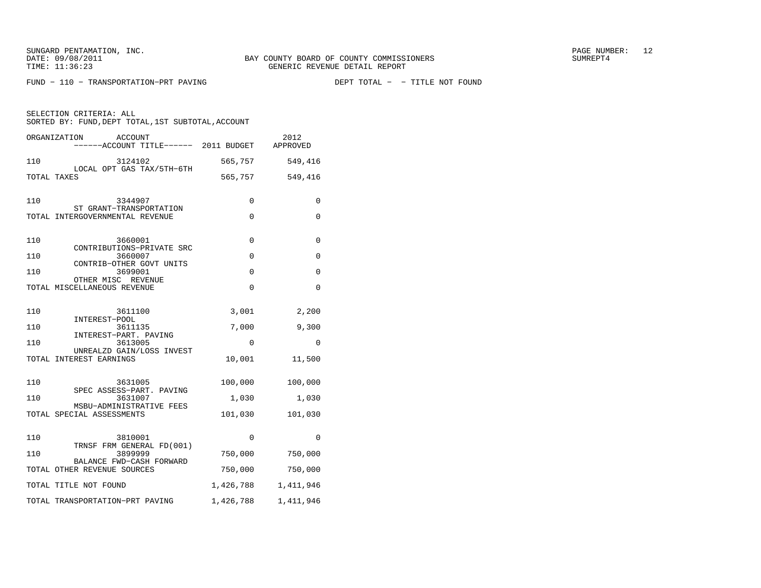FUND - 110 - TRANSPORTATION-PRT PAVING

|     | ORGANIZATION<br>ACCOUNT<br>----ACCOUNT TITLE------ 2011 BUDGET |           | 2012<br>APPROVED |
|-----|----------------------------------------------------------------|-----------|------------------|
| 110 | 3124102<br>LOCAL OPT GAS TAX/5TH-6TH                           | 565,757   | 549,416          |
|     | TOTAL TAXES                                                    | 565,757   | 549,416          |
| 110 | 3344907<br>ST GRANT-TRANSPORTATION                             | 0         | 0                |
|     | TOTAL INTERGOVERNMENTAL REVENUE                                | 0         | 0                |
| 110 | 3660001<br>CONTRIBUTIONS-PRIVATE SRC                           | 0         | 0                |
| 110 | 3660007<br>CONTRIB-OTHER GOVT UNITS                            | 0         | 0                |
| 110 | 3699001                                                        | 0         | 0                |
|     | OTHER MISC REVENUE<br>TOTAL MISCELLANEOUS REVENUE              | $\Omega$  | $\Omega$         |
| 110 | 3611100<br>INTEREST-POOL                                       | 3,001     | 2,200            |
| 110 | 3611135<br>INTEREST-PART. PAVING                               | 7,000     | 9,300            |
| 110 | 3613005                                                        | 0         | 0                |
|     | UNREALZD GAIN/LOSS INVEST<br>TOTAL INTEREST EARNINGS           | 10,001    | 11,500           |
| 110 | 3631005<br>SPEC ASSESS-PART. PAVING                            | 100,000   | 100,000          |
| 110 | 3631007<br>MSBU-ADMINISTRATIVE FEES                            | 1,030     | 1,030            |
|     | TOTAL SPECIAL ASSESSMENTS                                      | 101,030   | 101,030          |
| 110 | 3810001<br>TRNSF FRM GENERAL FD(001)                           | $\Omega$  | $\Omega$         |
| 110 | 3899999<br>BALANCE FWD-CASH FORWARD                            | 750,000   | 750,000          |
|     | TOTAL OTHER REVENUE SOURCES                                    | 750,000   | 750,000          |
|     | TOTAL TITLE NOT FOUND                                          | 1,426,788 | 1,411,946        |
|     | TOTAL TRANSPORTATION-PRT PAVING                                | 1,426,788 | 1,411,946        |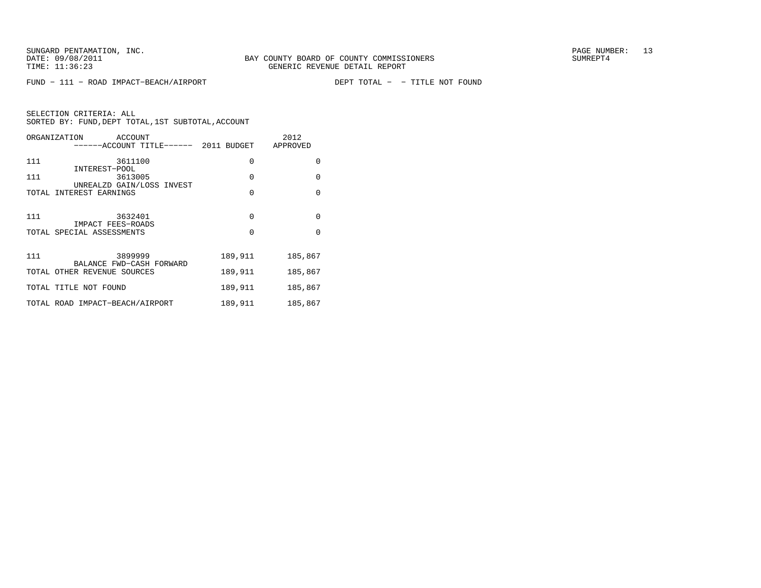FUND − 111 − ROAD IMPACT−BEACH/AIRPORT DEPT TOTAL − − TITLE NOT FOUND

| ORGANIZATION<br>ACCOUNT<br>------ACCOUNT TITLE------ 2011 BUDGET |          | 2012<br>APPROVED |
|------------------------------------------------------------------|----------|------------------|
| 111<br>3611100                                                   | 0        | $\Omega$         |
| INTEREST-POOL<br>111<br>3613005<br>UNREALZD GAIN/LOSS INVEST     | $\Omega$ | $\Omega$         |
| TOTAL INTEREST EARNINGS                                          | $\Omega$ | $\Omega$         |
| 111<br>3632401<br>IMPACT FEES-ROADS                              | $\Omega$ | $\Omega$         |
| TOTAL SPECIAL ASSESSMENTS                                        | $\Omega$ | $\Omega$         |
| 111<br>3899999<br>BALANCE FWD-CASH FORWARD                       | 189,911  | 185,867          |
| TOTAL OTHER REVENUE SOURCES                                      | 189,911  | 185,867          |
| TOTAL TITLE NOT FOUND                                            | 189,911  | 185,867          |
| TOTAL ROAD IMPACT-BEACH/AIRPORT                                  | 189,911  | 185,867          |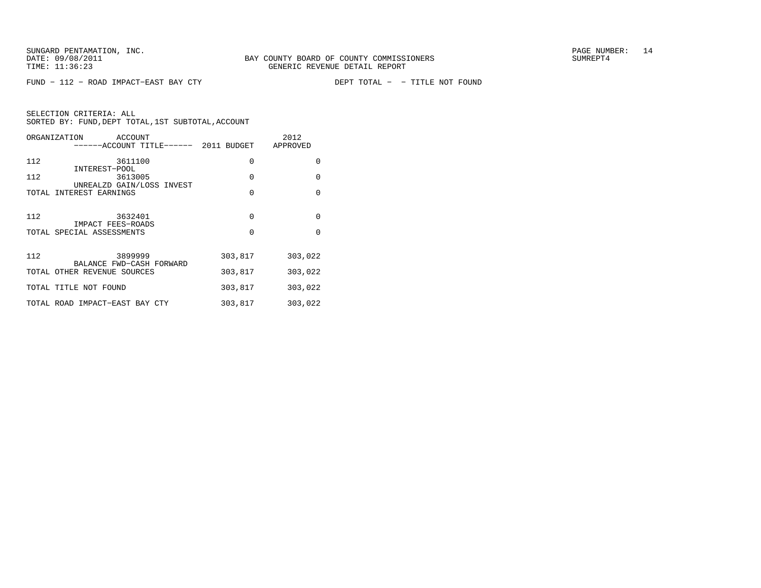FUND − 112 − ROAD IMPACT-EAST BAY CTY

DEPT TOTAL - - TITLE NOT FOUND

| ORGANIZATION<br>ACCOUNT<br>------ACCOUNT TITLE------ 2011 BUDGET |                      | 2012<br>APPROVED     |
|------------------------------------------------------------------|----------------------|----------------------|
| 112<br>3611100<br>INTEREST-POOL                                  | $\mathbf 0$          | $\Omega$             |
| 112<br>3613005<br>UNREALZD GAIN/LOSS INVEST                      | 0                    | $\Omega$             |
| TOTAL INTEREST EARNINGS                                          | $\Omega$             | $\Omega$             |
| 112<br>3632401<br>IMPACT FEES-ROADS<br>TOTAL SPECIAL ASSESSMENTS | $\Omega$<br>$\Omega$ | $\Omega$<br>$\Omega$ |
| 112<br>3899999                                                   | 303,817              | 303,022              |
| BALANCE FWD-CASH FORWARD<br>TOTAL OTHER REVENUE SOURCES          | 303,817              | 303,022              |
| TOTAL TITLE NOT FOUND                                            | 303,817              | 303,022              |
| TOTAL ROAD IMPACT-EAST BAY CTY                                   | 303,817              | 303,022              |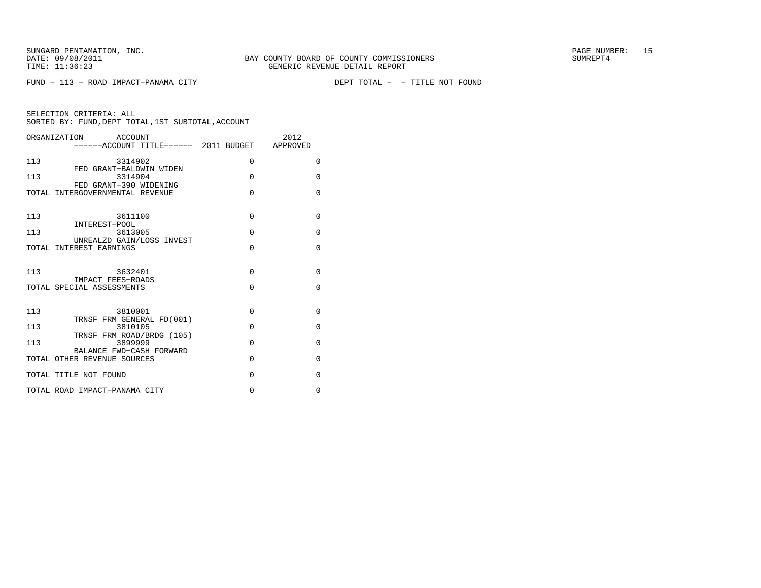FUND − 113 − ROAD IMPACT-PANAMA CITY

| SELECTION CRITERIA: ALL |  |                                                    |  |
|-------------------------|--|----------------------------------------------------|--|
|                         |  | SORTED BY: FUND, DEPT TOTAL, 1ST SUBTOTAL, ACCOUNT |  |

| ------ACCOUNT TITLE------ 2011 BUDGET APPROVED<br>$\Omega$ |
|------------------------------------------------------------|
|                                                            |
|                                                            |
| $\Omega$                                                   |
| $\Omega$                                                   |
|                                                            |
| $\mathbf{0}$                                               |
| $\mathbf{0}$                                               |
| $\Omega$                                                   |
|                                                            |
| $\Omega$                                                   |
| $\Omega$                                                   |
|                                                            |
| 0                                                          |
| $\Omega$                                                   |
| $\Omega$                                                   |
| $\Omega$                                                   |
| $\Omega$                                                   |
| $\Omega$                                                   |
|                                                            |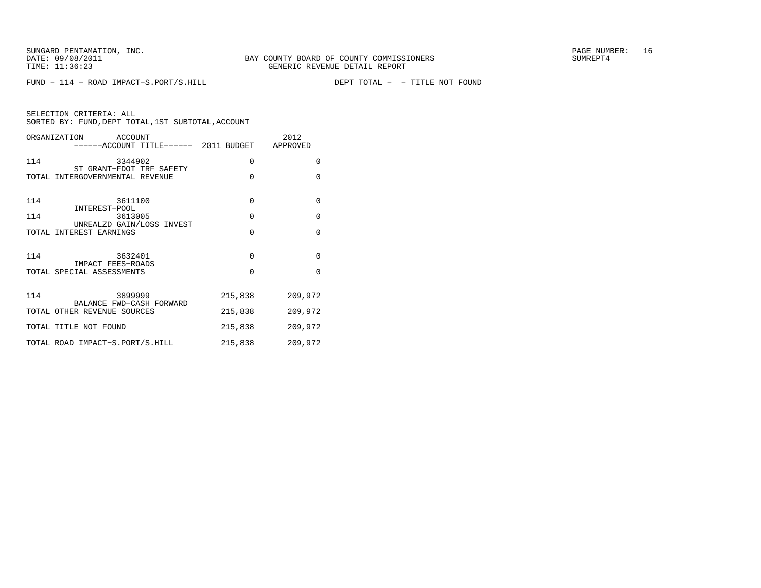FUND − 114 − ROAD IMPACT−S.PORT/S.HILL DEPT TOTAL − − TITLE NOT FOUND

| SELECTION CRITERIA: ALL |  |  |                                                    |  |
|-------------------------|--|--|----------------------------------------------------|--|
|                         |  |  | SORTED BY: FUND, DEPT TOTAL, 1ST SUBTOTAL, ACCOUNT |  |

|     | ORGANIZATION ACCOUNT<br>------ACCOUNT TITLE------ 2011 BUDGET APPROVED |             | 2012     |
|-----|------------------------------------------------------------------------|-------------|----------|
| 114 | 3344902<br>ST GRANT-FDOT TRF SAFETY                                    | 0           | $\Omega$ |
|     | TOTAL INTERGOVERNMENTAL REVENUE                                        | $\Omega$    | $\Omega$ |
| 114 | 3611100<br>INTEREST-POOL                                               | $\mathbf 0$ | $\Omega$ |
| 114 | 3613005<br>UNREALZD GAIN/LOSS INVEST                                   | $\Omega$    | $\Omega$ |
|     | TOTAL INTEREST EARNINGS                                                | $\Omega$    | $\Omega$ |
| 114 | 3632401                                                                | $\Omega$    | $\Omega$ |
|     | IMPACT FEES-ROADS<br>TOTAL SPECIAL ASSESSMENTS                         | $\Omega$    | $\Omega$ |
| 114 | 3899999<br>BALANCE FWD-CASH FORWARD                                    | 215,838     | 209,972  |
|     | TOTAL OTHER REVENUE SOURCES                                            | 215,838     | 209,972  |
|     | TOTAL TITLE NOT FOUND                                                  | 215,838     | 209,972  |
|     | TOTAL ROAD IMPACT-S.PORT/S.HILL                                        | 215,838     | 209,972  |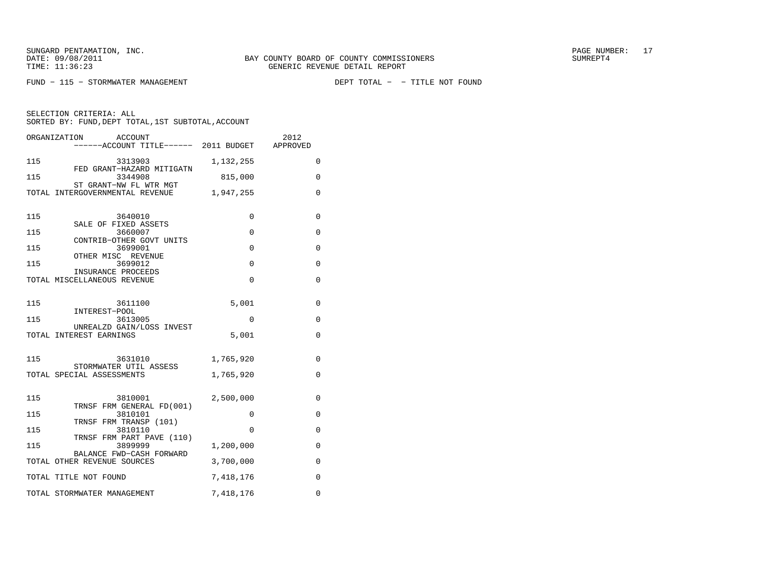FUND - 115 - STORMWATER MANAGEMENT

| ORGANIZATION<br>ACCOUNT<br>------ACCOUNT TITLE------ 2011 BUDGET APPROVED |             | 2012        |
|---------------------------------------------------------------------------|-------------|-------------|
| 115<br>3313903                                                            | 1,132,255   | 0           |
| FED GRANT-HAZARD MITIGATN<br>115<br>3344908                               | 815,000     | $\Omega$    |
| ST GRANT-NW FL WTR MGT<br>TOTAL INTERGOVERNMENTAL REVENUE                 | 1,947,255   | $\Omega$    |
| 115<br>3640010                                                            | 0           | 0           |
| SALE OF FIXED ASSETS<br>115<br>3660007                                    | $\Omega$    | $\Omega$    |
| CONTRIB-OTHER GOVT UNITS<br>115<br>3699001                                | $\Omega$    | 0           |
| OTHER MISC REVENUE<br>115<br>3699012                                      | 0           | 0           |
| INSURANCE PROCEEDS<br>TOTAL MISCELLANEOUS REVENUE                         | $\mathbf 0$ | $\mathbf 0$ |
| 115<br>3611100<br>INTEREST-POOL                                           | 5,001       | 0           |
| 115<br>3613005<br>UNREALZD GAIN/LOSS INVEST                               | 0           | 0           |
| TOTAL INTEREST EARNINGS                                                   | 5,001       | $\Omega$    |
| 115<br>3631010<br>STORMWATER UTIL ASSESS                                  | 1,765,920   | 0           |
| TOTAL SPECIAL ASSESSMENTS                                                 | 1,765,920   | $\mathbf 0$ |
| 3810001<br>115<br>TRNSF FRM GENERAL FD(001)                               | 2,500,000   | 0           |
| 115<br>3810101<br>TRNSF FRM TRANSP (101)                                  | 0           | 0           |
| 115<br>3810110<br>TRNSF FRM PART PAVE (110)                               | $\Omega$    | 0           |
| 115<br>3899999<br>BALANCE FWD-CASH FORWARD                                | 1,200,000   | $\Omega$    |
| TOTAL OTHER REVENUE SOURCES                                               | 3,700,000   | 0           |
| TOTAL TITLE NOT FOUND                                                     | 7,418,176   | $\mathbf 0$ |
| TOTAL STORMWATER MANAGEMENT                                               | 7,418,176   | $\Omega$    |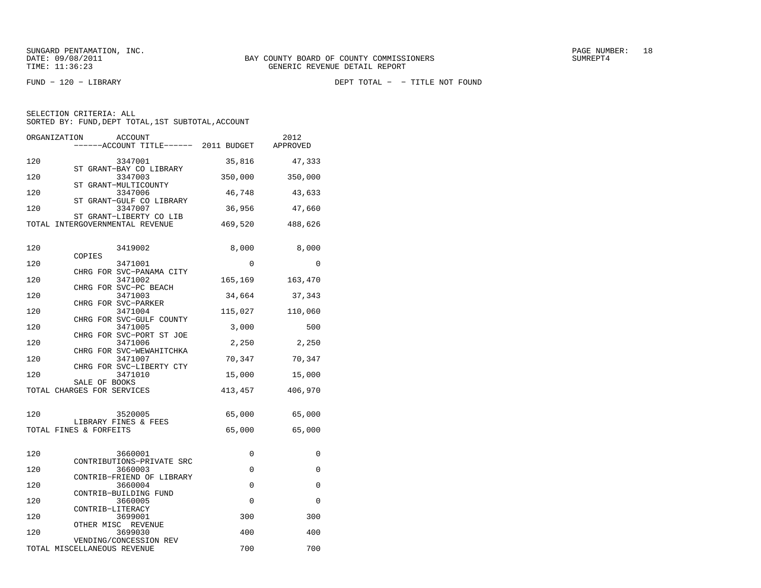FUND − 120 − LIBRARY DEPT TOTAL − − TITLE NOT FOUND

| ORGANIZATION | ACCOUNT<br>-----ACCOUNT TITLE------ 2011 BUDGET            |         | 2012<br>APPROVED |
|--------------|------------------------------------------------------------|---------|------------------|
| 120          | 3347001                                                    | 35,816  | 47,333           |
| 120          | ST GRANT-BAY CO LIBRARY<br>3347003                         | 350,000 | 350,000          |
| 120          | ST GRANT-MULTICOUNTY<br>3347006                            | 46,748  | 43,633           |
| 120          | ST GRANT-GULF CO LIBRARY<br>3347007                        | 36,956  | 47,660           |
|              | ST GRANT-LIBERTY CO LIB<br>TOTAL INTERGOVERNMENTAL REVENUE |         | 469,520 488,626  |
| 120          | 3419002                                                    | 8,000   | 8,000            |
|              | COPIES                                                     |         |                  |
| 120          | 3471001                                                    | 0       | $\Omega$         |
| 120          | CHRG FOR SVC-PANAMA CITY<br>3471002                        | 165,169 | 163,470          |
| 120          | CHRG FOR SVC-PC BEACH<br>3471003                           | 34,664  | 37,343           |
|              | CHRG FOR SVC-PARKER                                        |         |                  |
| 120          | 3471004<br>CHRG FOR SVC-GULF COUNTY                        | 115,027 | 110,060          |
| 120          | 3471005                                                    | 3,000   | 500              |
| 120          | CHRG FOR SVC-PORT ST JOE<br>3471006                        | 2,250   | 2,250            |
| 120          | CHRG FOR SVC-WEWAHITCHKA<br>3471007                        | 70,347  | 70,347           |
| 120          | CHRG FOR SVC-LIBERTY CTY<br>3471010                        | 15,000  | 15,000           |
|              | SALE OF BOOKS<br>TOTAL CHARGES FOR SERVICES                | 413,457 | 406,970          |
|              |                                                            |         |                  |
| 120          | 3520005<br>LIBRARY FINES & FEES                            | 65,000  | 65,000           |
|              | TOTAL FINES & FORFEITS                                     | 65,000  | 65,000           |
|              |                                                            |         |                  |
| 120          | 3660001<br>CONTRIBUTIONS-PRIVATE SRC                       | 0       | 0                |
| 120          | 3660003                                                    | 0       | 0                |
| 120          | CONTRIB-FRIEND OF LIBRARY<br>3660004                       | 0       | 0                |
|              | CONTRIB-BUILDING FUND                                      |         |                  |
| 120          | 3660005<br>CONTRIB-LITERACY                                | 0       | 0                |
| 120          | 3699001                                                    | 300     | 300              |
| 120          | OTHER MISC REVENUE<br>3699030                              | 400     | 400              |
|              | VENDING/CONCESSION REV                                     |         |                  |
|              | TOTAL MISCELLANEOUS REVENUE                                | 700     | 700              |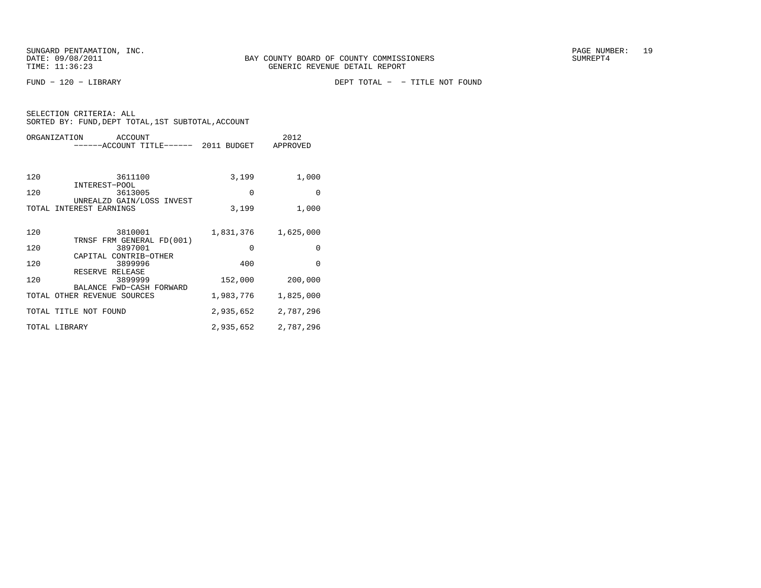FUND − 120 − LIBRARY DEPT TOTAL − − TITLE NOT FOUND

|       | ORGANIZATION<br>ACCOUNT                                 |           | 2012      |
|-------|---------------------------------------------------------|-----------|-----------|
|       | -----ACCOUNT TITLE------ 2011 BUDGET                    |           | APPROVED  |
|       |                                                         |           |           |
| 120   | 3611100                                                 | 3,199     | 1,000     |
| 120   | INTEREST-POOL<br>3613005                                | $\Omega$  | $\Omega$  |
| TOTAL | UNREALZD GAIN/LOSS INVEST<br>INTEREST EARNINGS          | 3,199     | 1,000     |
|       |                                                         |           |           |
| 120   | 3810001                                                 | 1,831,376 | 1,625,000 |
| 120   | TRNSF FRM GENERAL FD(001)<br>3897001                    | $\Omega$  | $\Omega$  |
| 120   | CAPITAL CONTRIB-OTHER<br>3899996                        | 400       | $\Omega$  |
| 120   | RESERVE RELEASE<br>3899999                              | 152,000   | 200,000   |
|       | BALANCE FWD-CASH FORWARD<br>TOTAL OTHER REVENUE SOURCES | 1,983,776 | 1,825,000 |
|       |                                                         |           |           |
|       | TOTAL TITLE NOT FOUND                                   | 2,935,652 | 2,787,296 |
|       | TOTAL LIBRARY                                           | 2,935,652 | 2,787,296 |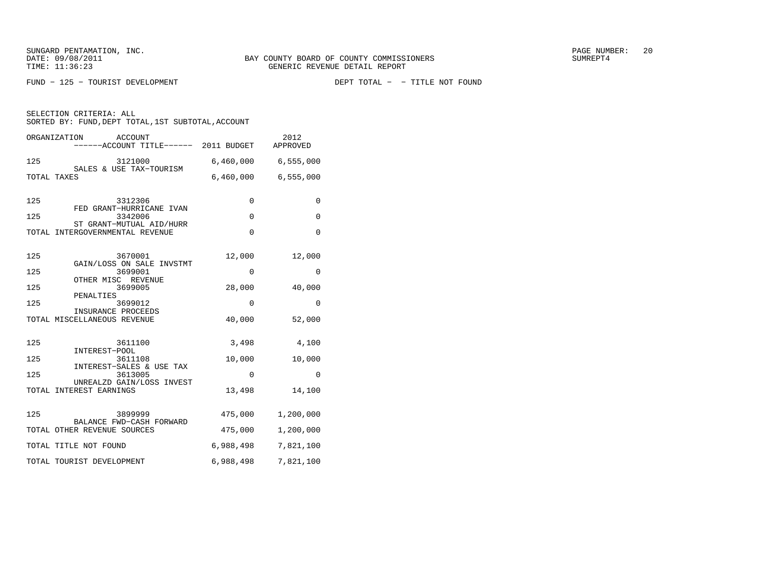FUND - 125 - TOURIST DEVELOPMENT

|     | ORGANIZATION<br><b>ACCOUNT</b><br>----ACCOUNT TITLE------ 2011 BUDGET |             | 2012<br>APPROVED    |
|-----|-----------------------------------------------------------------------|-------------|---------------------|
| 125 | 3121000<br>SALES & USE TAX-TOURISM                                    |             | 6,460,000 6,555,000 |
|     | TOTAL TAXES                                                           | 6,460,000   | 6,555,000           |
| 125 | 3312306<br>FED GRANT-HURRICANE IVAN                                   | $\Omega$    | $\mathbf{0}$        |
| 125 | 3342006<br>ST GRANT-MUTUAL AID/HURR                                   | $\mathbf 0$ | $\mathbf{0}$        |
|     | TOTAL INTERGOVERNMENTAL REVENUE                                       | $\Omega$    | $\Omega$            |
| 125 | 3670001<br>GAIN/LOSS ON SALE INVSTMT                                  | 12,000      | 12,000              |
| 125 | 3699001<br>OTHER MISC REVENUE                                         | 0           | 0                   |
| 125 | 3699005<br>PENALTIES                                                  | 28,000      | 40,000              |
| 125 | 3699012<br>INSURANCE PROCEEDS                                         | 0           | 0                   |
|     | TOTAL MISCELLANEOUS REVENUE                                           | 40,000      | 52,000              |
| 125 | 3611100<br>INTEREST-POOL                                              | 3,498       | 4,100               |
| 125 | 3611108<br>INTEREST-SALES & USE TAX                                   | 10,000      | 10,000              |
| 125 | 3613005<br>UNREALZD GAIN/LOSS INVEST                                  | $\Omega$    | $\Omega$            |
|     | TOTAL INTEREST EARNINGS                                               | 13,498      | 14,100              |
| 125 | 3899999<br>BALANCE FWD-CASH FORWARD                                   | 475,000     | 1,200,000           |
|     | TOTAL OTHER REVENUE SOURCES                                           | 475,000     | 1,200,000           |
|     | TOTAL TITLE NOT FOUND                                                 | 6,988,498   | 7,821,100           |
|     | TOTAL TOURIST DEVELOPMENT                                             | 6,988,498   | 7,821,100           |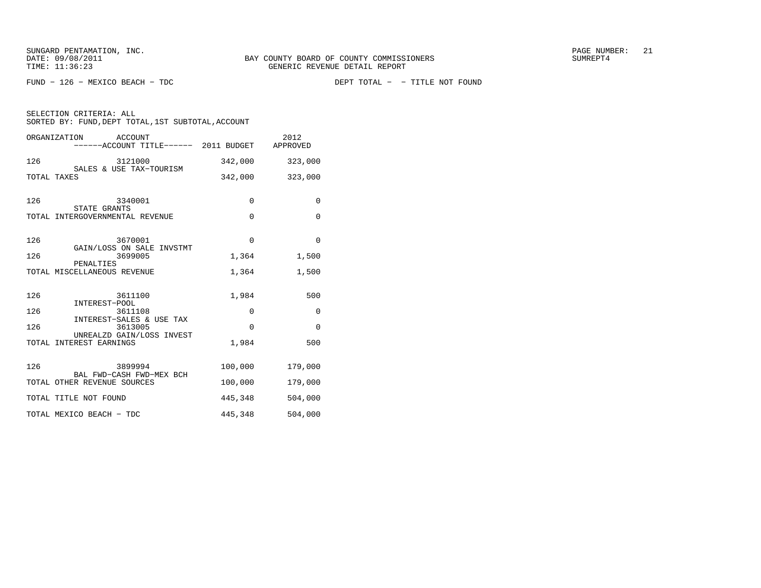|     | ORGANIZATION ACCOUNT<br>------ACCOUNT TITLE------ 2011 BUDGET APPROVED |             | 2012         |
|-----|------------------------------------------------------------------------|-------------|--------------|
| 126 | 3121000                                                                | 342,000     | 323,000      |
|     | SALES & USE TAX-TOURISM<br>TOTAL TAXES                                 | 342,000     | 323,000      |
| 126 | 3340001                                                                | $\mathbf 0$ | 0            |
|     | STATE GRANTS<br>TOTAL INTERGOVERNMENTAL REVENUE                        | $\mathbf 0$ | $\mathbf 0$  |
| 126 | 3670001<br>GAIN/LOSS ON SALE INVSTMT                                   | $\mathbf 0$ | $\mathbf 0$  |
| 126 | 3699005                                                                | 1,364       | 1,500        |
|     | PENALTIES<br>TOTAL MISCELLANEOUS REVENUE                               | 1,364       | 1,500        |
| 126 | 3611100<br>INTEREST-POOL                                               | 1,984       | 500          |
| 126 | 3611108                                                                | 0           | $\mathbf{0}$ |
| 126 | INTEREST-SALES & USE TAX<br>3613005                                    | $\Omega$    | $\Omega$     |
|     | UNREALZD GAIN/LOSS INVEST<br>TOTAL INTEREST EARNINGS                   | 1,984       | 500          |
| 126 | 3899994<br>BAL FWD-CASH FWD-MEX BCH                                    | 100,000     | 179,000      |
|     | TOTAL OTHER REVENUE SOURCES                                            | 100,000     | 179,000      |
|     | TOTAL TITLE NOT FOUND                                                  | 445,348     | 504,000      |
|     | TOTAL MEXICO BEACH - TDC                                               | 445,348     | 504,000      |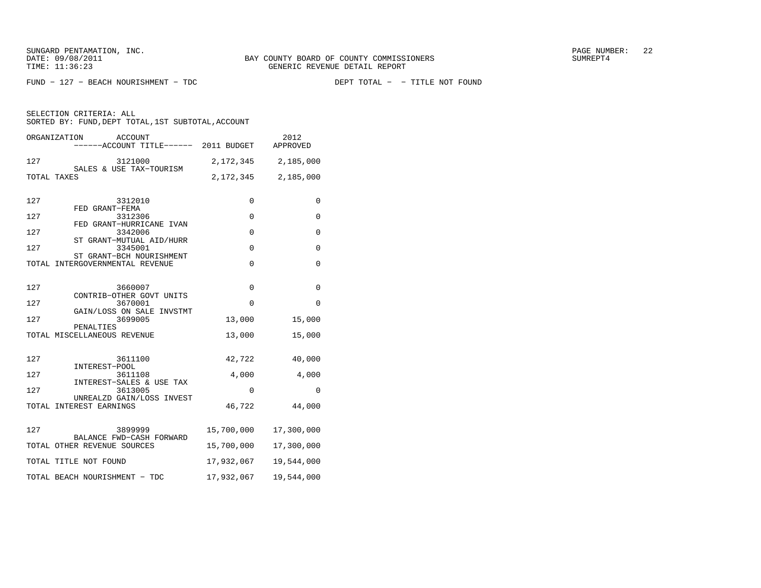$FUND - 127 - BERACH NOURISHMENT - TDC$ 

|     | ORGANIZATION<br>ACCOUNT<br>----ACCOUNT TITLE------ 2011 BUDGET |             | 2012<br>APPROVED |
|-----|----------------------------------------------------------------|-------------|------------------|
| 127 | 3121000                                                        | 2,172,345   | 2,185,000        |
|     | SALES & USE TAX-TOURISM<br>TOTAL TAXES                         | 2,172,345   | 2,185,000        |
| 127 | 3312010                                                        | 0           | 0                |
| 127 | FED GRANT-FEMA<br>3312306                                      | $\mathbf 0$ | $\mathbf{0}$     |
| 127 | FED GRANT-HURRICANE IVAN<br>3342006                            | $\mathbf 0$ | $\mathbf 0$      |
| 127 | ST GRANT-MUTUAL AID/HURR<br>3345001                            | $\mathbf 0$ | 0                |
|     | ST GRANT-BCH NOURISHMENT<br>TOTAL INTERGOVERNMENTAL REVENUE    | $\Omega$    | $\mathbf{0}$     |
| 127 | 3660007                                                        | 0           | 0                |
| 127 | CONTRIB-OTHER GOVT UNITS<br>3670001                            | 0           | 0                |
| 127 | GAIN/LOSS ON SALE INVSTMT<br>3699005                           | 13,000      | 15,000           |
|     | PENALTIES<br>TOTAL MISCELLANEOUS REVENUE                       | 13,000      | 15,000           |
| 127 | 3611100<br>INTEREST-POOL                                       | 42,722      | 40,000           |
| 127 | 3611108<br>INTEREST-SALES & USE TAX                            | 4,000       | 4,000            |
| 127 | 3613005                                                        | $\Omega$    | 0                |
|     | UNREALZD GAIN/LOSS INVEST<br>TOTAL INTEREST EARNINGS           | 46,722      | 44,000           |
| 127 | 3899999<br>BALANCE FWD-CASH FORWARD                            | 15,700,000  | 17,300,000       |
|     | TOTAL OTHER REVENUE SOURCES                                    | 15,700,000  | 17,300,000       |
|     | TOTAL TITLE NOT FOUND                                          | 17,932,067  | 19,544,000       |
|     | TOTAL BEACH NOURISHMENT - TDC                                  | 17,932,067  | 19,544,000       |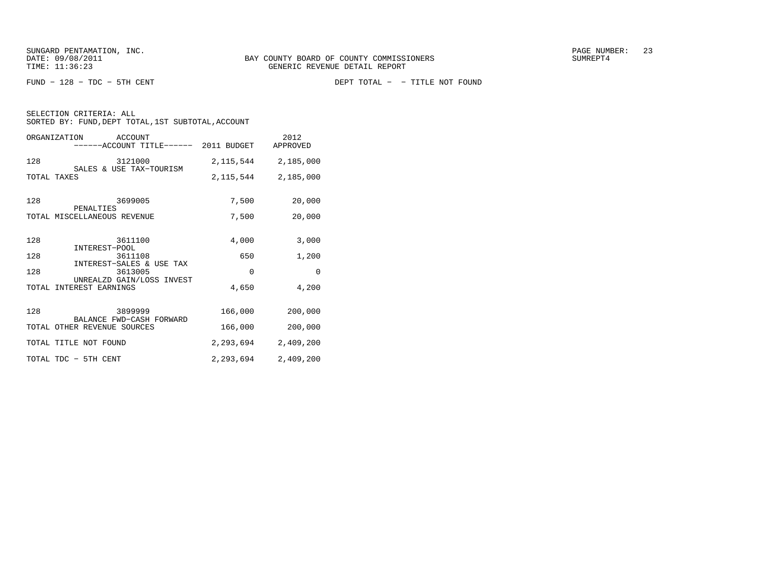FUND − 128 − TDC − 5TH CENT DEPT TOTAL − − TITLE NOT FOUND

| SELECTION CRITERIA: ALL                            |  |  |
|----------------------------------------------------|--|--|
| SORTED BY: FUND, DEPT TOTAL, 1ST SUBTOTAL, ACCOUNT |  |  |

|     | ORGANIZATION<br>ACCOUNT<br>------ACCOUNT TITLE------ 2011 BUDGET |           | 2012<br>APPROVED        |
|-----|------------------------------------------------------------------|-----------|-------------------------|
| 128 | 3121000                                                          |           | 2, 115, 544 2, 185, 000 |
|     | SALES & USE TAX-TOURISM<br>TOTAL TAXES                           | 2,115,544 | 2,185,000               |
| 128 | 3699005<br>PENALTIES                                             | 7,500     | 20,000                  |
|     | TOTAL MISCELLANEOUS REVENUE                                      | 7,500     | 20,000                  |
| 128 | 3611100<br>INTEREST-POOL                                         | 4,000     | 3,000                   |
| 128 | 3611108                                                          | 650       | 1,200                   |
| 128 | INTEREST-SALES & USE TAX<br>3613005                              | $\Omega$  | $\mathbf 0$             |
|     | UNREALZD GAIN/LOSS INVEST<br>TOTAL INTEREST EARNINGS             | 4,650     | 4,200                   |
| 128 | 3899999                                                          | 166,000   | 200,000                 |
|     | BALANCE FWD-CASH FORWARD<br>TOTAL OTHER REVENUE SOURCES          | 166,000   | 200,000                 |
|     | TOTAL TITLE NOT FOUND                                            | 2,293,694 | 2,409,200               |
|     | TOTAL TDC - 5TH CENT                                             | 2,293,694 | 2,409,200               |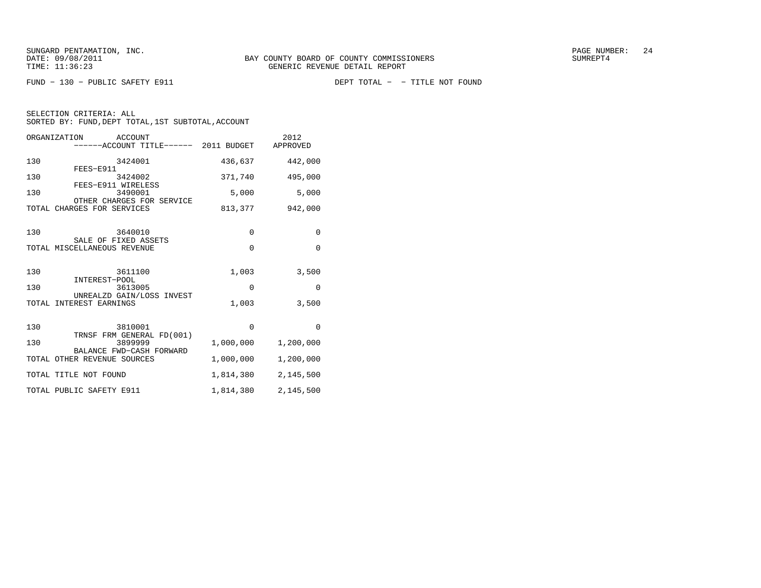| SELECTION CRITERIA: ALL |  |                                                    |  |
|-------------------------|--|----------------------------------------------------|--|
|                         |  | SORTED BY: FUND, DEPT TOTAL, 1ST SUBTOTAL, ACCOUNT |  |

|     | ORGANIZATION<br>ACCOUNT<br>------ACCOUNT TITLE------ 2011 BUDGET APPROVED |             | 2012        |
|-----|---------------------------------------------------------------------------|-------------|-------------|
| 130 | 3424001                                                                   | 436,637     | 442,000     |
| 130 | FEES-E911<br>3424002                                                      | 371,740     | 495,000     |
| 130 | FEES-E911 WIRELESS<br>3490001                                             | 5,000       | 5,000       |
|     | OTHER CHARGES FOR SERVICE<br>TOTAL CHARGES FOR SERVICES                   | 813,377     | 942,000     |
| 130 | 3640010<br>SALE OF FIXED ASSETS                                           | $\mathbf 0$ | $\mathbf 0$ |
|     | TOTAL MISCELLANEOUS REVENUE                                               | $\Omega$    | $\mathbf 0$ |
| 130 | 3611100<br>INTEREST-POOL                                                  | 1,003       | 3,500       |
| 130 | 3613005<br>UNREALZD GAIN/LOSS INVEST                                      | $\mathbf 0$ | $\Omega$    |
|     | TOTAL INTEREST EARNINGS                                                   | 1,003       | 3,500       |
| 130 | 3810001<br>TRNSF FRM GENERAL FD(001)                                      | $\Omega$    | $\Omega$    |
| 130 | 3899999<br>BALANCE FWD-CASH FORWARD                                       | 1,000,000   | 1,200,000   |
|     | TOTAL OTHER REVENUE SOURCES                                               | 1,000,000   | 1,200,000   |
|     | TOTAL TITLE NOT FOUND                                                     | 1,814,380   | 2,145,500   |
|     | TOTAL PUBLIC SAFETY E911                                                  | 1,814,380   | 2,145,500   |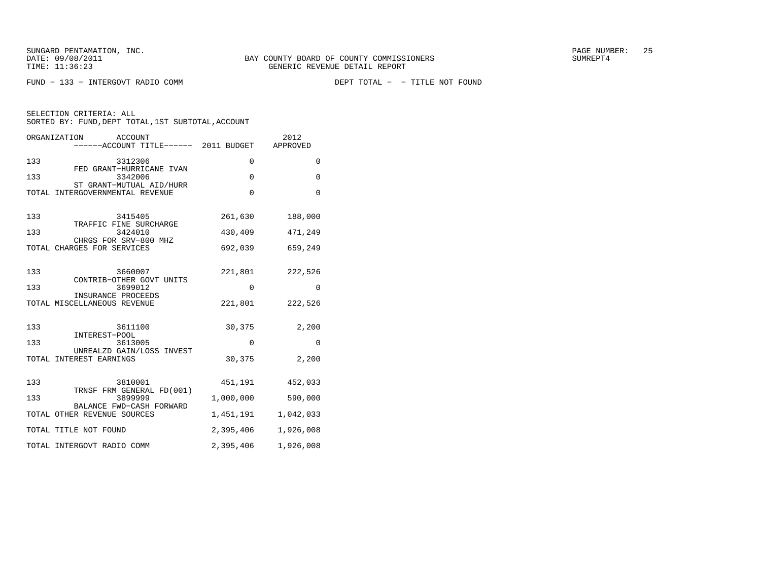FUND - 133 - INTERGOVT RADIO COMM

DEPT TOTAL - - TITLE NOT FOUND

| SELECTION CRITERIA: ALL |  |  |                                                    |  |
|-------------------------|--|--|----------------------------------------------------|--|
|                         |  |  | SORTED BY: FUND, DEPT TOTAL, 1ST SUBTOTAL, ACCOUNT |  |

|     | ORGANIZATION<br>ACCOUNT<br>----ACCOUNT TITLE------ 2011 BUDGET |             | 2012<br>APPROVED |
|-----|----------------------------------------------------------------|-------------|------------------|
| 133 | 3312306<br>FED GRANT-HURRICANE IVAN                            | 0           | 0                |
| 133 | 3342006<br>ST GRANT-MUTUAL AID/HURR                            | $\mathbf 0$ | $\mathbf{0}$     |
|     | TOTAL INTERGOVERNMENTAL REVENUE                                | $\Omega$    | $\Omega$         |
| 133 | 3415405                                                        | 261,630     | 188,000          |
| 133 | TRAFFIC FINE SURCHARGE<br>3424010<br>CHRGS FOR SRV-800 MHZ     | 430,409     | 471,249          |
|     | TOTAL CHARGES FOR SERVICES                                     | 692,039     | 659,249          |
| 133 | 3660007<br>CONTRIB-OTHER GOVT UNITS                            | 221,801     | 222,526          |
| 133 | 3699012                                                        | 0           | $\Omega$         |
|     | INSURANCE PROCEEDS<br>TOTAL MISCELLANEOUS REVENUE              | 221,801     | 222,526          |
| 133 | 3611100                                                        | 30,375      | 2,200            |
| 133 | INTEREST-POOL<br>3613005                                       | $\Omega$    | 0                |
|     | UNREALZD GAIN/LOSS INVEST<br>TOTAL INTEREST EARNINGS           | 30,375      | 2,200            |
| 133 | 3810001                                                        | 451,191     | 452,033          |
| 133 | TRNSF FRM GENERAL FD(001)<br>3899999                           | 1,000,000   | 590,000          |
|     | BALANCE FWD-CASH FORWARD<br>TOTAL OTHER REVENUE SOURCES        | 1,451,191   | 1,042,033        |
|     | TOTAL TITLE NOT FOUND                                          | 2,395,406   | 1,926,008        |
|     | TOTAL INTERGOVT RADIO COMM                                     | 2,395,406   | 1,926,008        |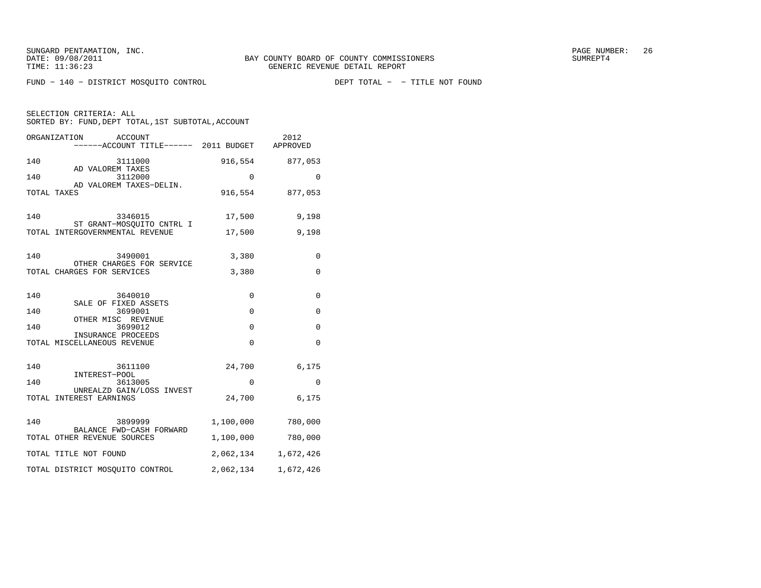FUND − 140 − DISTRICT MOSQUITO CONTROL DEPT TOTAL − − TITLE NOT FOUND

|     | ORGANIZATION<br>ACCOUNT<br>----ACCOUNT TITLE------ 2011 BUDGET APPROVED |             | 2012            |
|-----|-------------------------------------------------------------------------|-------------|-----------------|
| 140 | 3111000                                                                 | 916,554     | 877,053         |
| 140 | AD VALOREM TAXES<br>3112000                                             | 0           | 0               |
|     | AD VALOREM TAXES-DELIN.<br>TOTAL TAXES                                  |             | 916,554 877,053 |
| 140 | 3346015                                                                 | 17,500      | 9,198           |
|     | ST GRANT-MOSQUITO CNTRL I<br>TOTAL INTERGOVERNMENTAL REVENUE            | 17,500      | 9,198           |
| 140 | 3490001                                                                 | 3,380       | $\mathbf 0$     |
|     | OTHER CHARGES FOR SERVICE<br>TOTAL CHARGES FOR SERVICES                 | 3,380       | $\mathbf 0$     |
| 140 | 3640010                                                                 | $\mathbf 0$ | $\mathbf{0}$    |
| 140 | SALE OF FIXED ASSETS<br>3699001                                         | $\Omega$    | $\mathbf{0}$    |
| 140 | OTHER MISC REVENUE<br>3699012<br>INSURANCE PROCEEDS                     | $\mathbf 0$ | 0               |
|     | TOTAL MISCELLANEOUS REVENUE                                             | $\mathbf 0$ | 0               |
| 140 | 3611100<br>INTEREST-POOL                                                | 24,700      | 6,175           |
| 140 | 3613005<br>UNREALZD GAIN/LOSS INVEST                                    | $\mathbf 0$ | $\mathbf 0$     |
|     | TOTAL INTEREST EARNINGS                                                 | 24,700      | 6,175           |
| 140 | 3899999                                                                 | 1,100,000   | 780,000         |
|     | BALANCE FWD-CASH FORWARD<br>TOTAL OTHER REVENUE SOURCES                 | 1,100,000   | 780,000         |
|     | TOTAL TITLE NOT FOUND                                                   | 2,062,134   | 1,672,426       |
|     | TOTAL DISTRICT MOSQUITO CONTROL                                         | 2,062,134   | 1,672,426       |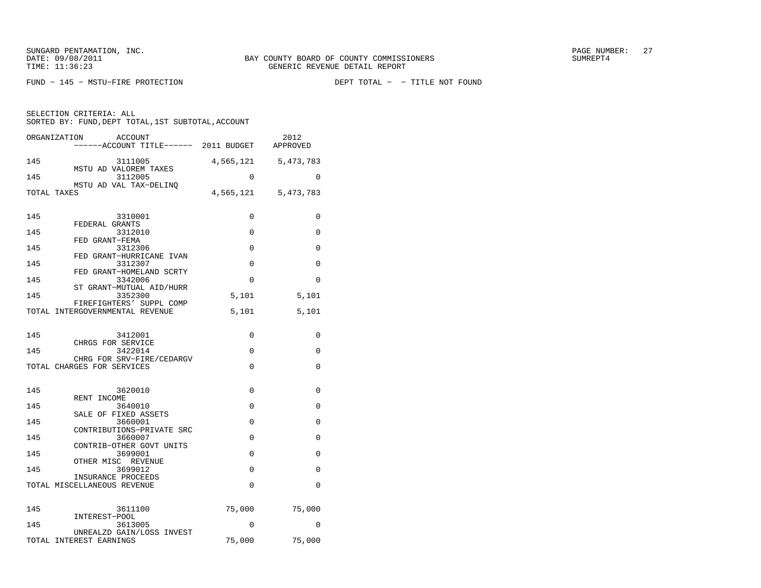$FUND - 145 - MSTU-FIRE \ PROTECTION$ 

DEPT TOTAL - - TITLE NOT FOUND

| ORGANIZATION<br>ACCOUNT<br>------ACCOUNT TITLE------ 2011 BUDGET APPROVED |          | 2012                    |
|---------------------------------------------------------------------------|----------|-------------------------|
| 145<br>3111005<br>MSTU AD VALOREM TAXES                                   |          | 4, 565, 121 5, 473, 783 |
| 145<br>3112005<br>MSTU AD VAL TAX-DELINO                                  | $\Omega$ | $\Omega$                |
| TOTAL TAXES                                                               |          | 4,565,121 5,473,783     |
| 145<br>3310001                                                            | 0        | 0                       |
| FEDERAL GRANTS<br>145<br>3312010                                          | 0        | 0                       |
| FED GRANT-FEMA<br>145<br>3312306                                          | $\Omega$ | $\Omega$                |
| FED GRANT-HURRICANE IVAN<br>145<br>3312307                                | $\Omega$ | $\Omega$                |
| FED GRANT-HOMELAND SCRTY<br>145<br>3342006                                | 0        | 0                       |
| ST GRANT-MUTUAL AID/HURR<br>145<br>3352300                                | 5,101    | 5,101                   |
| FIREFIGHTERS' SUPPL COMP<br>TOTAL INTERGOVERNMENTAL REVENUE               | 5,101    | 5,101                   |
| 145<br>3412001                                                            | 0        | 0                       |
| CHRGS FOR SERVICE<br>145<br>3422014                                       | 0        | 0                       |
| CHRG FOR SRV-FIRE/CEDARGV                                                 |          |                         |
| TOTAL CHARGES FOR SERVICES                                                | $\Omega$ | 0                       |
| 145<br>3620010                                                            | 0        | 0                       |
| RENT INCOME<br>145<br>3640010                                             | $\Omega$ | $\Omega$                |
| SALE OF FIXED ASSETS<br>145<br>3660001                                    | 0        | $\Omega$                |
| CONTRIBUTIONS-PRIVATE SRC<br>145<br>3660007                               | $\Omega$ | 0                       |
| CONTRIB-OTHER GOVT UNITS<br>145<br>3699001                                | $\Omega$ | $\Omega$                |
| OTHER MISC REVENUE<br>145<br>3699012                                      | 0        | $\mathbf 0$             |
| INSURANCE PROCEEDS<br>TOTAL MISCELLANEOUS REVENUE                         | $\Omega$ | $\mathbf 0$             |
| 145<br>3611100                                                            | 75,000   | 75,000                  |
| INTEREST-POOL<br>145<br>3613005                                           | 0        | 0                       |
| UNREALZD GAIN/LOSS INVEST                                                 |          |                         |
| TOTAL INTEREST EARNINGS                                                   | 75,000   | 75,000                  |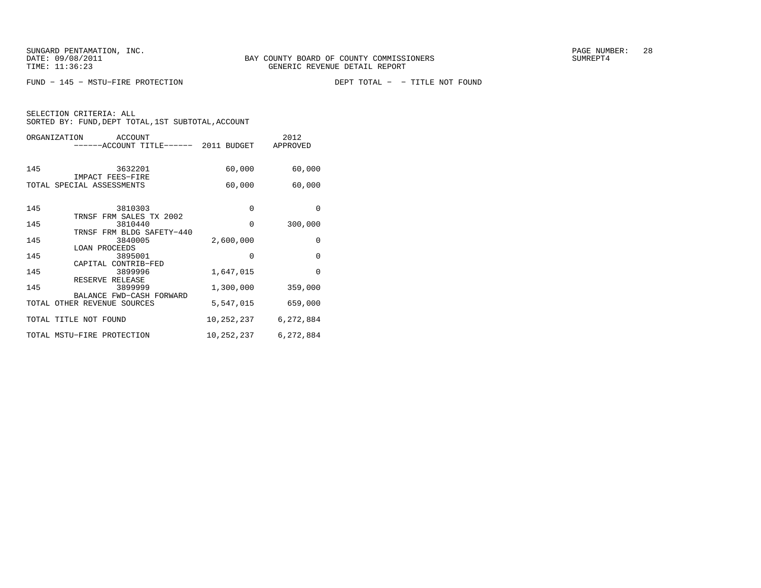$FUND - 145 - MSTU-FIRE \ PROTECTION$ 

DEPT TOTAL - - TITLE NOT FOUND

| ORGANIZATION<br>ACCOUNT<br>-----ACCOUNT TITLE------ 2011 BUDGET |            | 2012<br>APPROVED |
|-----------------------------------------------------------------|------------|------------------|
| 145<br>3632201                                                  | 60,000     | 60,000           |
| IMPACT FEES-FIRE<br>TOTAL SPECIAL ASSESSMENTS                   | 60,000     | 60,000           |
| 145<br>3810303<br>TRNSF FRM SALES TX 2002                       | 0          | $\Omega$         |
| 145<br>3810440                                                  | $\Omega$   | 300,000          |
| TRNSF FRM BLDG SAFETY-440<br>145<br>3840005                     | 2,600,000  | 0                |
| LOAN PROCEEDS<br>145<br>3895001                                 | $\Omega$   | $\Omega$         |
| CAPITAL CONTRIB-FED<br>145<br>3899996                           | 1,647,015  | $\Omega$         |
| RESERVE RELEASE<br>145<br>3899999                               | 1,300,000  | 359,000          |
| BALANCE FWD-CASH FORWARD<br>TOTAL OTHER REVENUE SOURCES         | 5,547,015  | 659,000          |
| TOTAL TITLE NOT FOUND                                           | 10,252,237 | 6,272,884        |
| TOTAL MSTU-FIRE PROTECTION                                      | 10,252,237 | 6,272,884        |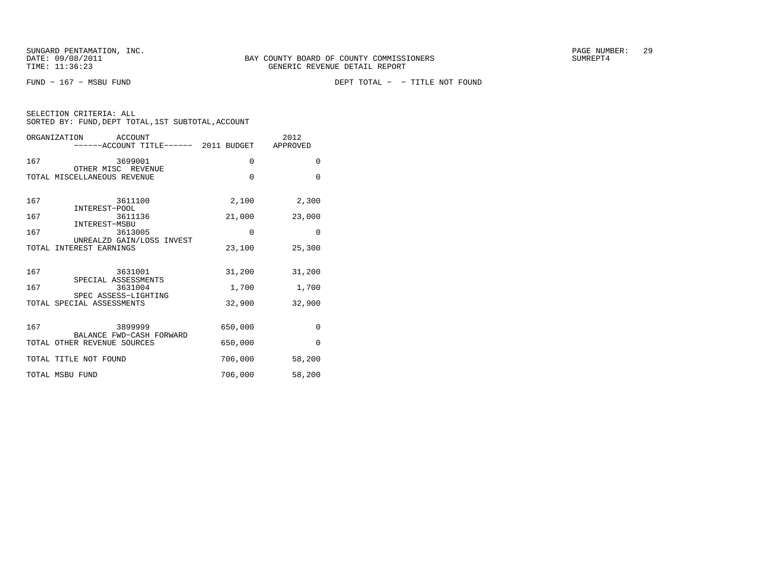FUND − 167 − MSBU FUND DEPT TOTAL − − TITLE NOT FOUND

|  | SELECTION CRITERIA: ALL |                                                    |  |
|--|-------------------------|----------------------------------------------------|--|
|  |                         | SORTED BY: FUND, DEPT TOTAL, 1ST SUBTOTAL, ACCOUNT |  |

|     | ORGANIZATION<br>ACCOUNT<br>-----ACCOUNT TITLE------ 2011 BUDGET APPROVED |          | 2012        |
|-----|--------------------------------------------------------------------------|----------|-------------|
| 167 | 3699001                                                                  | 0        | $\mathbf 0$ |
|     | OTHER MISC REVENUE<br>TOTAL MISCELLANEOUS REVENUE                        | $\Omega$ | $\Omega$    |
| 167 | 3611100                                                                  | 2,100    | 2,300       |
| 167 | INTEREST-POOL<br>3611136                                                 | 21,000   | 23,000      |
| 167 | INTEREST-MSBU<br>3613005                                                 | $\Omega$ | $\Omega$    |
|     | UNREALZD GAIN/LOSS INVEST<br>TOTAL INTEREST EARNINGS                     | 23,100   | 25,300      |
| 167 | 3631001                                                                  | 31,200   | 31,200      |
| 167 | SPECIAL ASSESSMENTS<br>3631004                                           | 1,700    | 1,700       |
|     | SPEC ASSESS-LIGHTING<br>TOTAL SPECIAL ASSESSMENTS                        | 32,900   | 32,900      |
| 167 | 3899999<br>BALANCE FWD-CASH FORWARD                                      | 650,000  | $\mathbf 0$ |
|     | TOTAL OTHER REVENUE SOURCES                                              | 650,000  | $\Omega$    |
|     | TOTAL TITLE NOT FOUND                                                    | 706,000  | 58,200      |
|     | TOTAL MSBU FUND                                                          | 706,000  | 58,200      |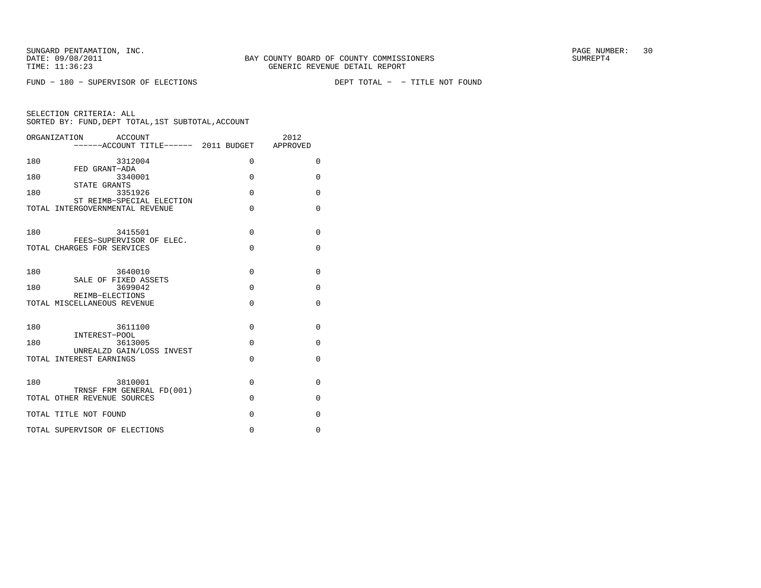$FUND - 180 - SUBERVISOR OF ELECTIONS$ 

DEPT TOTAL - - TITLE NOT FOUND

|     | ORGANIZATION<br>ACCOUNT                        |             | 2012        |
|-----|------------------------------------------------|-------------|-------------|
|     | ------ACCOUNT TITLE------ 2011 BUDGET APPROVED |             |             |
|     |                                                |             |             |
| 180 | 3312004                                        | 0           | 0           |
|     | FED GRANT-ADA                                  |             |             |
| 180 | 3340001                                        | $\Omega$    | $\Omega$    |
|     | STATE GRANTS                                   |             |             |
| 180 | 3351926                                        | $\Omega$    | $\Omega$    |
|     | ST REIMB-SPECIAL ELECTION                      |             |             |
|     | TOTAL INTERGOVERNMENTAL REVENUE                | $\Omega$    | $\Omega$    |
|     |                                                |             |             |
|     |                                                |             |             |
| 180 | 3415501                                        | $\Omega$    | $\Omega$    |
|     | FEES-SUPERVISOR OF ELEC.                       |             |             |
|     | TOTAL CHARGES FOR SERVICES                     | $\Omega$    | $\Omega$    |
|     |                                                |             |             |
|     |                                                |             |             |
| 180 | 3640010                                        | $\Omega$    | $\Omega$    |
|     | SALE OF FIXED ASSETS                           |             |             |
| 180 | 3699042                                        | $\Omega$    | $\Omega$    |
|     | REIMB-ELECTIONS                                |             |             |
|     | TOTAL MISCELLANEOUS REVENUE                    | $\Omega$    | $\Omega$    |
|     |                                                |             |             |
| 180 | 3611100                                        | $\Omega$    | $\Omega$    |
|     |                                                |             |             |
| 180 | INTEREST-POOL<br>3613005                       | $\Omega$    | $\Omega$    |
|     | UNREALZD GAIN/LOSS INVEST                      |             |             |
|     | TOTAL INTEREST EARNINGS                        | $\Omega$    | $\Omega$    |
|     |                                                |             |             |
|     |                                                |             |             |
| 180 | 3810001                                        | $\Omega$    | $\Omega$    |
|     | TRNSF FRM GENERAL FD(001)                      |             |             |
|     | TOTAL OTHER REVENUE SOURCES                    | $\Omega$    | $\Omega$    |
|     |                                                |             |             |
|     | TOTAL TITLE NOT FOUND                          | $\Omega$    | $\mathbf 0$ |
|     |                                                |             |             |
|     | TOTAL SUPERVISOR OF ELECTIONS                  | $\mathbf 0$ | 0           |
|     |                                                |             |             |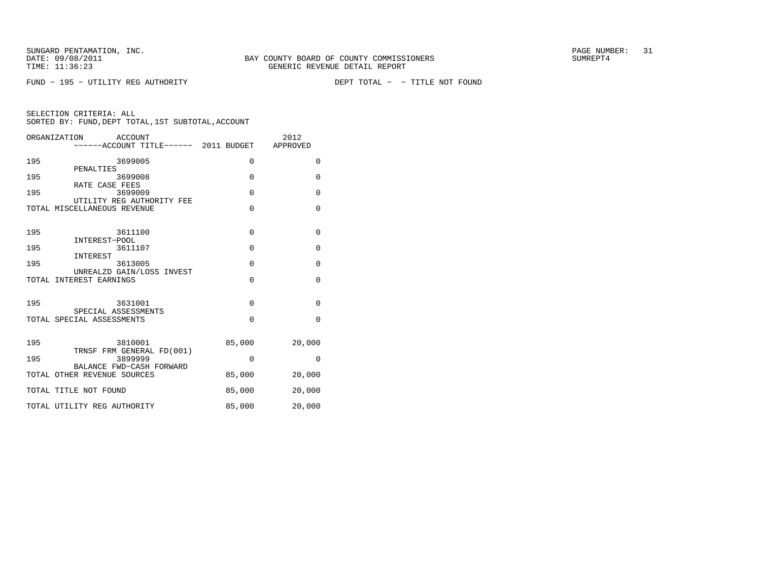FUND - 195 - UTILITY REG AUTHORITY

DEPT TOTAL - - TITLE NOT FOUND

|     | ORGANIZATION<br>ACCOUNT                                  |             | 2012         |
|-----|----------------------------------------------------------|-------------|--------------|
|     | ------ACCOUNT TITLE------ 2011 BUDGET                    |             | APPROVED     |
| 195 | 3699005                                                  | $\Omega$    | $\Omega$     |
| 195 | PENALTIES<br>3699008                                     | $\Omega$    | $\mathbf 0$  |
| 195 | RATE CASE FEES<br>3699009                                | $\mathbf 0$ | $\mathbf 0$  |
|     | UTILITY REG AUTHORITY FEE<br>TOTAL MISCELLANEOUS REVENUE | $\Omega$    | $\Omega$     |
| 195 | 3611100                                                  | $\Omega$    | $\mathbf{0}$ |
| 195 | INTEREST-POOL<br>3611107                                 | $\mathbf 0$ | 0            |
| 195 | INTEREST<br>3613005                                      | $\mathbf 0$ | 0            |
|     | UNREALZD GAIN/LOSS INVEST<br>TOTAL INTEREST EARNINGS     | $\Omega$    | $\Omega$     |
| 195 | 3631001                                                  | $\Omega$    | $\mathbf{0}$ |
|     | SPECIAL ASSESSMENTS<br>TOTAL SPECIAL ASSESSMENTS         | $\Omega$    | $\Omega$     |
|     |                                                          |             |              |
| 195 | 3810001<br>TRNSF FRM GENERAL FD(001)                     | 85,000      | 20,000       |
| 195 | 3899999<br>BALANCE FWD-CASH FORWARD                      | $\Omega$    | $\Omega$     |
|     | TOTAL OTHER REVENUE SOURCES                              | 85,000      | 20,000       |
|     | TOTAL TITLE NOT FOUND                                    | 85,000      | 20,000       |
|     | TOTAL UTILITY REG AUTHORITY                              | 85,000      | 20,000       |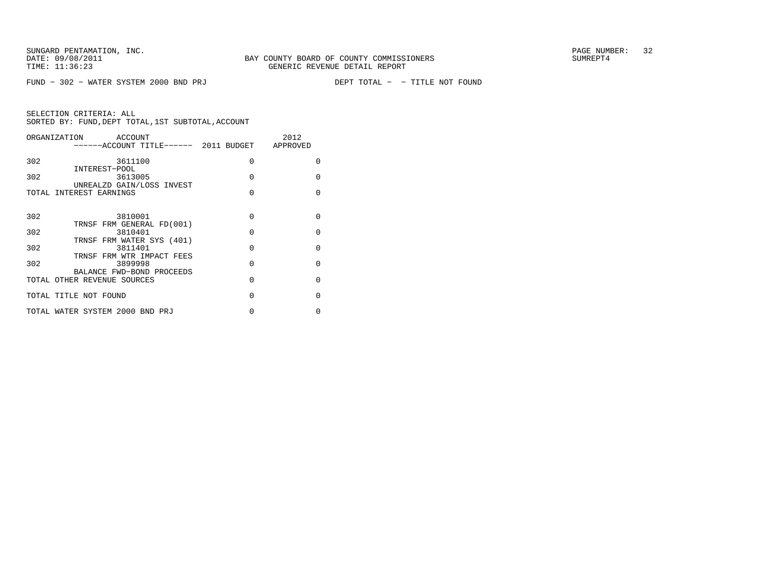FUND - 302 - WATER SYSTEM 2000 BND PRJ

DEPT TOTAL - - TITLE NOT FOUND

| ORGANIZATION                    | ACCOUNT<br>-----ACCOUNT TITLE------ 2011 BUDGET APPROVED |          | 2012         |
|---------------------------------|----------------------------------------------------------|----------|--------------|
| 302                             | 3611100                                                  | $\Omega$ | <sup>0</sup> |
| INTEREST-POOL<br>302            | 3613005                                                  | $\Omega$ | $\Omega$     |
| TOTAL INTEREST EARNINGS         | UNREALZD GAIN/LOSS INVEST                                | $\Omega$ | $\Omega$     |
| 302                             | 3810001<br>TRNSF FRM GENERAL FD(001)                     | $\Omega$ | $\Omega$     |
| 302                             | 3810401                                                  | $\Omega$ | $\Omega$     |
| 302                             | TRNSF FRM WATER SYS (401)<br>3811401                     | $\Omega$ | $\Omega$     |
| 302                             | TRNSF FRM WTR IMPACT FEES<br>3899998                     | $\Omega$ | $\Omega$     |
| TOTAL OTHER REVENUE SOURCES     | BALANCE FWD-BOND PROCEEDS                                | $\Omega$ | $\Omega$     |
| TOTAL TITLE NOT FOUND           |                                                          | $\Omega$ | $\Omega$     |
| TOTAL WATER SYSTEM 2000 BND PRJ |                                                          | N        | U            |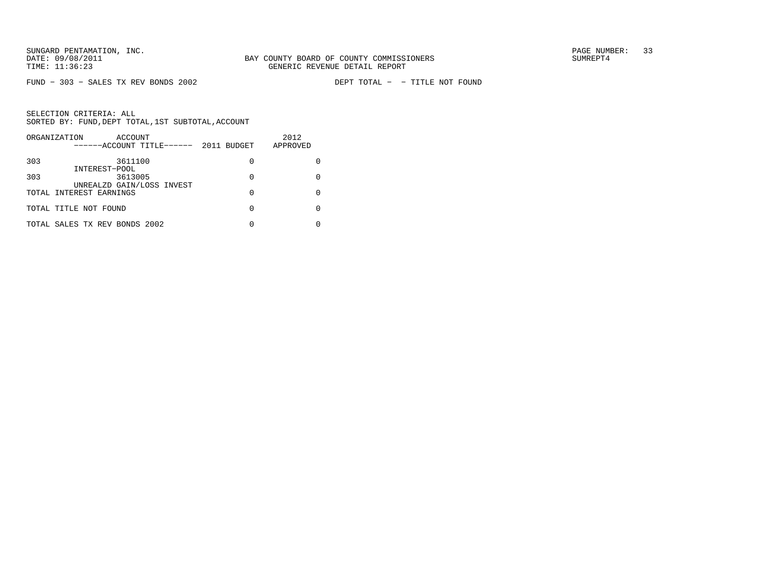$FUND - 303 - SALES TX REV BONDS 2002$ 

DEPT TOTAL - - TITLE NOT FOUND

| ORGANIZATION<br>ACCOUNT<br>------ACCOUNT TITLE------ | 2011 BUDGET | 2012<br>APPROVED |
|------------------------------------------------------|-------------|------------------|
| 303<br>3611100                                       | 0           |                  |
| INTEREST-POOL<br>303<br>3613005                      | 0           |                  |
| UNREALZD GAIN/LOSS INVEST<br>TOTAL INTEREST EARNINGS | 0           |                  |
| TOTAL TITLE NOT FOUND                                | 0           |                  |
| TOTAL SALES TX REV BONDS 2002                        |             |                  |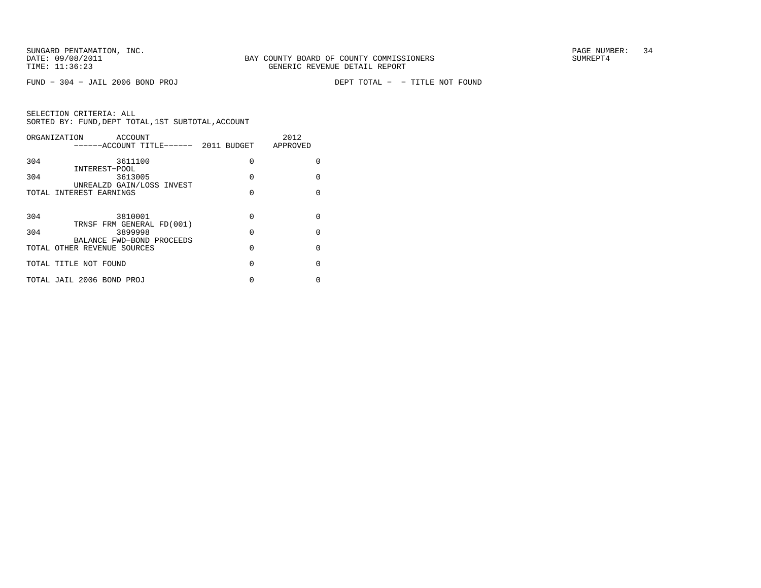$FUND - 304 - JAIL 2006 BOND PROJ$ 

DEPT TOTAL - - TITLE NOT FOUND

| ORGANIZATION | ACCOUNT                                        |          | 2012         |
|--------------|------------------------------------------------|----------|--------------|
|              | ------ACCOUNT TITLE------ 2011 BUDGET APPROVED |          |              |
| 304          | 3611100                                        | $\Omega$ | O            |
|              | INTEREST-POOL                                  |          |              |
| 304          | 3613005                                        | $\Omega$ | <sup>0</sup> |
|              | UNREALZD GAIN/LOSS INVEST                      |          |              |
|              | TOTAL INTEREST EARNINGS                        | $\Omega$ | <sup>0</sup> |
|              |                                                |          |              |
| 304          | 3810001                                        | $\Omega$ | <sup>0</sup> |
|              | TRNSF FRM GENERAL FD(001)                      |          |              |
| 304          | 3899998                                        | $\Omega$ | <sup>0</sup> |
|              | BALANCE FWD-BOND PROCEEDS                      |          |              |
|              | TOTAL OTHER REVENUE SOURCES                    | $\Omega$ | <sup>0</sup> |
|              |                                                |          |              |
|              | TOTAL TITLE NOT FOUND                          | $\Omega$ | <sup>0</sup> |
|              | TOTAL JAIL 2006 BOND PROJ                      | 0        | 0            |
|              |                                                |          |              |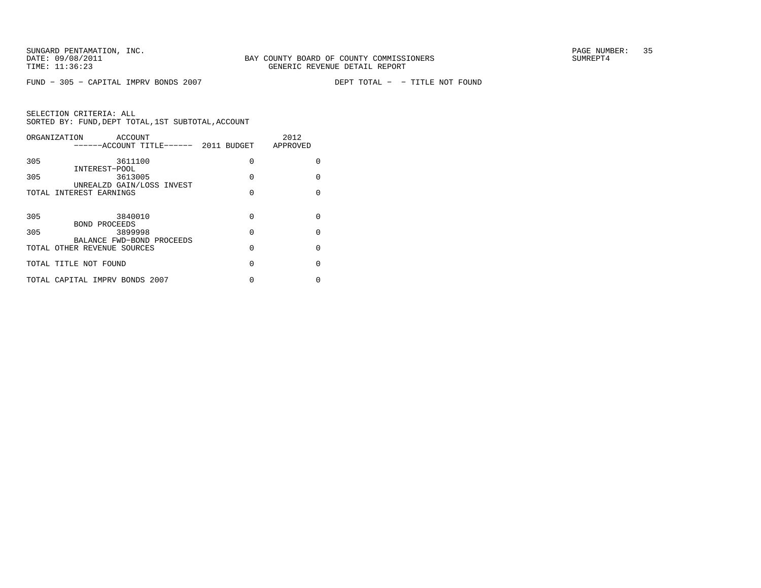$FUND - 305 - CAPITAL IMPV BONDS 2007$ 

DEPT TOTAL - - TITLE NOT FOUND

|     | ORGANIZATION<br>ACCOUNT                        |          | 2012         |
|-----|------------------------------------------------|----------|--------------|
|     | ------ACCOUNT TITLE------ 2011 BUDGET APPROVED |          |              |
| 305 | 3611100                                        | $\Omega$ | O            |
|     | INTEREST-POOL                                  |          |              |
| 305 | 3613005                                        | $\Omega$ | <sup>0</sup> |
|     | UNREALZD GAIN/LOSS INVEST                      |          |              |
|     | TOTAL INTEREST EARNINGS                        | $\Omega$ | <sup>0</sup> |
|     |                                                |          |              |
| 305 | 3840010                                        | $\Omega$ | <sup>0</sup> |
|     | <b>BOND PROCEEDS</b>                           |          |              |
| 305 | 3899998                                        | $\Omega$ | <sup>0</sup> |
|     | BALANCE FWD-BOND PROCEEDS                      |          |              |
|     | TOTAL OTHER REVENUE SOURCES                    | $\Omega$ | <sup>0</sup> |
|     |                                                |          |              |
|     | TOTAL TITLE NOT FOUND                          | $\Omega$ | U            |
|     |                                                |          |              |
|     | TOTAL CAPITAL IMPRV BONDS 2007                 | 0        | 0            |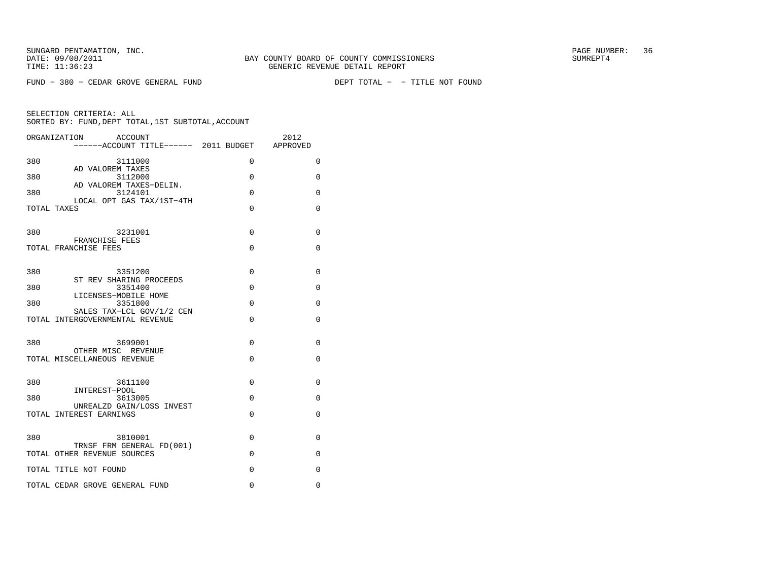$FUND - 380 - CEDAR GROVE GENERAL FUND$ 

DEPT TOTAL - - TITLE NOT FOUND

|             | ORGANIZATION<br><b>ACCOUNT</b><br>------ACCOUNT TITLE------ 2011 BUDGET APPROVED |               | 2012     |
|-------------|----------------------------------------------------------------------------------|---------------|----------|
| 380         | 3111000                                                                          | 0             | 0        |
| 380         | AD VALOREM TAXES<br>3112000                                                      | 0             | 0        |
| 380         | AD VALOREM TAXES-DELIN.<br>3124101<br>LOCAL OPT GAS TAX/1ST-4TH                  | $\Omega$      | $\Omega$ |
| TOTAL TAXES |                                                                                  | 0             | 0        |
| 380         | 3231001                                                                          | $\Omega$      | 0        |
|             | FRANCHISE FEES<br>TOTAL FRANCHISE FEES                                           | $\Omega$      | $\Omega$ |
| 380         | 3351200                                                                          | 0             | 0        |
| 380         | ST REV SHARING PROCEEDS<br>3351400                                               | $\Omega$      | $\Omega$ |
| 380         | LICENSES-MOBILE HOME<br>3351800                                                  | $\Omega$      | $\Omega$ |
|             | SALES TAX-LCL GOV/1/2 CEN<br>TOTAL INTERGOVERNMENTAL REVENUE                     | $\Omega$      | $\Omega$ |
| 380         | 3699001                                                                          | $\Omega$      | $\Omega$ |
|             | OTHER MISC REVENUE<br>TOTAL MISCELLANEOUS REVENUE                                | 0             | 0        |
| 380         | 3611100                                                                          | $\Omega$      | $\Omega$ |
| 380         | INTEREST-POOL<br>3613005                                                         | 0             | 0        |
|             | UNREALZD GAIN/LOSS INVEST<br>TOTAL INTEREST EARNINGS                             | 0             | 0        |
|             |                                                                                  |               |          |
| 380         | 3810001<br>TRNSF FRM GENERAL FD(001)                                             | 0             | 0        |
|             | TOTAL OTHER REVENUE SOURCES                                                      | 0<br>$\Omega$ | 0<br>0   |
|             | TOTAL TITLE NOT FOUND<br>TOTAL CEDAR GROVE GENERAL FUND                          | $\mathbf 0$   | 0        |
|             |                                                                                  |               |          |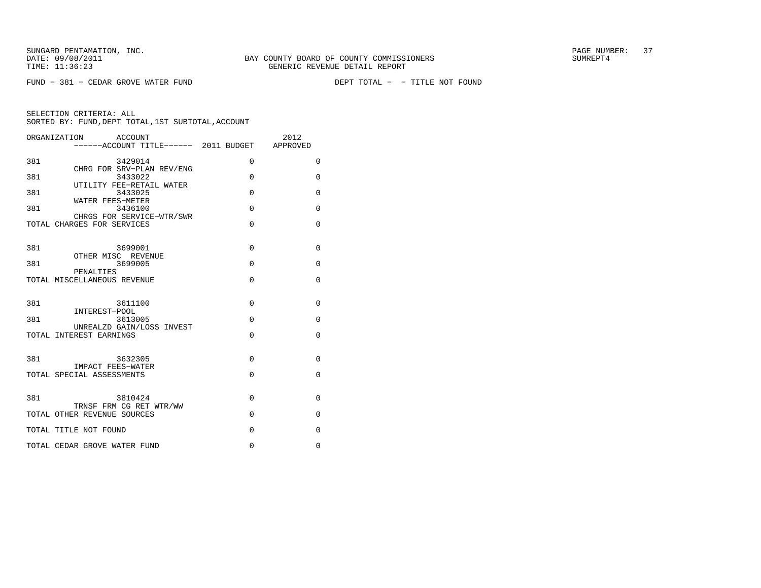$FUND - 381 - CEDAR GROVE WATER FUND$ 

DEPT TOTAL - - TITLE NOT FOUND

|     | ACCOUNT<br>ORGANIZATION<br>------ACCOUNT TITLE------ 2011 BUDGET APPROVED |          | 2012         |
|-----|---------------------------------------------------------------------------|----------|--------------|
| 381 | 3429014                                                                   | 0        | $\Omega$     |
| 381 | CHRG FOR SRV-PLAN REV/ENG<br>3433022                                      | $\Omega$ | 0            |
| 381 | UTILITY FEE-RETAIL WATER<br>3433025                                       | $\Omega$ | $\mathbf 0$  |
| 381 | WATER FEES-METER<br>3436100                                               | $\Omega$ | $\Omega$     |
|     | CHRGS FOR SERVICE-WTR/SWR<br>TOTAL CHARGES FOR SERVICES                   | $\Omega$ | $\Omega$     |
| 381 | 3699001                                                                   | $\Omega$ | $\mathbf{0}$ |
|     | OTHER MISC REVENUE                                                        |          |              |
| 381 | 3699005<br>PENALTIES                                                      | $\Omega$ | $\Omega$     |
|     | TOTAL MISCELLANEOUS REVENUE                                               | $\Omega$ | $\Omega$     |
| 381 | 3611100                                                                   | $\Omega$ | $\Omega$     |
| 381 | INTEREST-POOL<br>3613005                                                  | $\Omega$ | 0            |
|     | UNREALZD GAIN/LOSS INVEST<br>TOTAL INTEREST EARNINGS                      | $\Omega$ | $\Omega$     |
| 381 | 3632305                                                                   | $\Omega$ | $\Omega$     |
|     | IMPACT FEES-WATER<br>TOTAL SPECIAL ASSESSMENTS                            | $\Omega$ | $\Omega$     |
| 381 | 3810424                                                                   | $\Omega$ | 0            |
|     | TRNSF FRM CG RET WTR/WW<br>TOTAL OTHER REVENUE SOURCES                    | $\Omega$ | $\Omega$     |
|     | TOTAL TITLE NOT FOUND                                                     | $\Omega$ | $\Omega$     |
|     | TOTAL CEDAR GROVE WATER FUND                                              | $\Omega$ | $\Omega$     |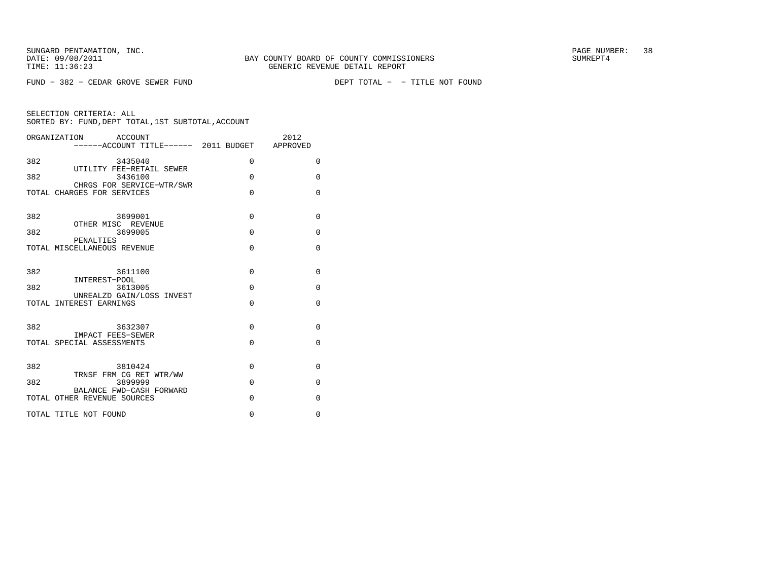$FUND - 382 - CEDAR GROVE SEWER FUND$ 

DEPT TOTAL - - TITLE NOT FOUND

|     | ORGANIZATION ACCOUNT<br>------ACCOUNT TITLE------ 2011 BUDGET APPROVED |             | 2012     |
|-----|------------------------------------------------------------------------|-------------|----------|
|     |                                                                        |             |          |
| 382 | 3435040<br>UTILITY FEE-RETAIL SEWER                                    | 0           | 0        |
| 382 | 3436100                                                                | $\Omega$    | 0        |
|     | CHRGS FOR SERVICE-WTR/SWR<br>TOTAL CHARGES FOR SERVICES                | $\Omega$    | $\Omega$ |
|     |                                                                        |             |          |
| 382 | 3699001<br>OTHER MISC REVENUE                                          | $\Omega$    | $\Omega$ |
| 382 | 3699005                                                                | $\Omega$    | 0        |
|     | PENALTIES<br>TOTAL MISCELLANEOUS REVENUE                               | $\mathbf 0$ | $\Omega$ |
|     |                                                                        |             |          |
| 382 | 3611100<br>INTEREST-POOL                                               | $\Omega$    | $\Omega$ |
| 382 | 3613005                                                                | $\Omega$    | 0        |
|     | UNREALZD GAIN/LOSS INVEST<br>TOTAL INTEREST EARNINGS                   | $\Omega$    | $\Omega$ |
|     |                                                                        |             |          |
| 382 | 3632307                                                                | $\Omega$    | $\Omega$ |
|     | IMPACT FEES-SEWER<br>TOTAL SPECIAL ASSESSMENTS                         | $\Omega$    | $\Omega$ |
|     |                                                                        |             |          |
| 382 | 3810424<br>TRNSF FRM CG RET WTR/WW                                     | $\Omega$    | 0        |
| 382 | 3899999                                                                | $\Omega$    | $\Omega$ |
|     | BALANCE FWD-CASH FORWARD<br>TOTAL OTHER REVENUE SOURCES                | $\Omega$    | $\Omega$ |
|     | TOTAL TITLE NOT FOUND                                                  | $\Omega$    | $\Omega$ |
|     |                                                                        |             |          |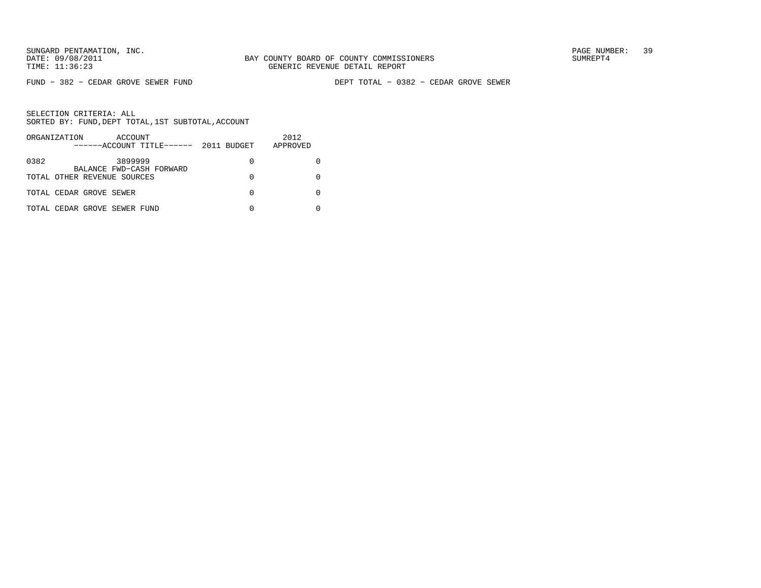FUND − 382 − CEDAR GROVE SEWER FUND DEPT TOTAL − 0382 − CEDAR GROVE SEWER

| ORGANIZATION<br>ACCOUNT<br>$----ACCOUNT$ TITLE $--- 2011$ BUDGET |   | 2012<br>APPROVED |
|------------------------------------------------------------------|---|------------------|
| 0382<br>3899999<br>BALANCE FWD-CASH FORWARD                      | 0 |                  |
| TOTAL OTHER REVENUE SOURCES                                      | 0 |                  |
| TOTAL CEDAR GROVE SEWER                                          | O |                  |
| TOTAL CEDAR GROVE SEWER FUND                                     |   |                  |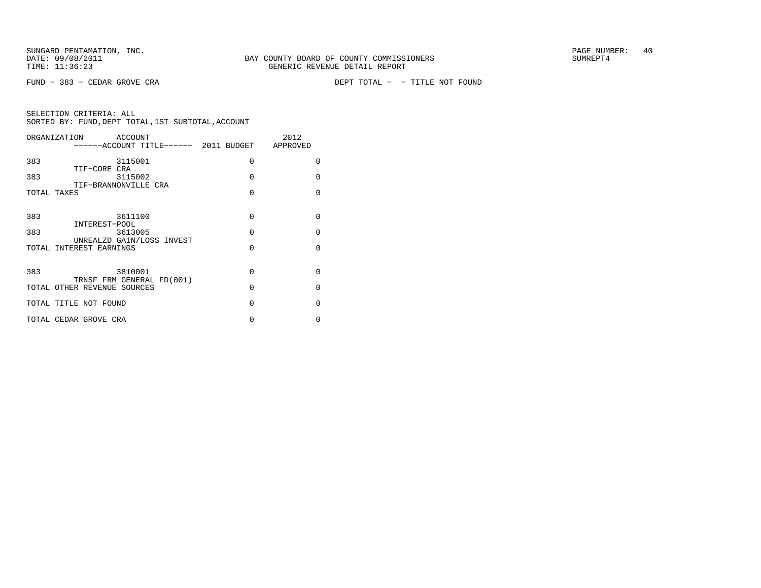FUND − 383 − CEDAR GROVE CRA DEPT TOTAL − − TITLE NOT FOUND

|             | ORGANIZATION<br>ACCOUNT<br>-----ACCOUNT TITLE------ 2011 BUDGET APPROVED |          | 2012     |
|-------------|--------------------------------------------------------------------------|----------|----------|
| 383         | 3115001                                                                  | $\Omega$ | $\Omega$ |
| 383         | TIF-CORE CRA<br>3115002                                                  | $\Omega$ | $\Omega$ |
| TOTAL TAXES | TIF-BRANNONVILLE CRA                                                     | $\Omega$ | $\Omega$ |
|             |                                                                          |          |          |
| 383         | 3611100<br>INTEREST-POOL                                                 | $\Omega$ | $\Omega$ |
| 383         | 3613005                                                                  | $\Omega$ | $\Omega$ |
|             | UNREALZD GAIN/LOSS INVEST<br>TOTAL INTEREST EARNINGS                     | $\Omega$ | $\Omega$ |
|             |                                                                          |          |          |
| 383         | 3810001<br>TRNSF FRM GENERAL FD(001)                                     | $\Omega$ | $\Omega$ |
|             | TOTAL OTHER REVENUE SOURCES                                              | $\Omega$ | $\Omega$ |
|             | TOTAL TITLE NOT FOUND                                                    | $\Omega$ | $\Omega$ |
|             | TOTAL CEDAR GROVE CRA                                                    | 0        | $\Omega$ |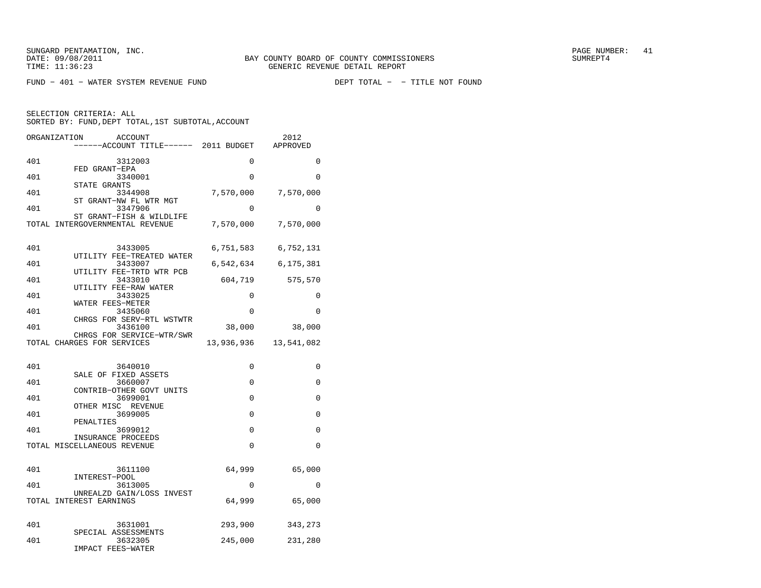$FUND - 401 - WATER SYSTEM REVENUE FUND$ 

DEPT TOTAL - - TITLE NOT FOUND

|     | ORGANIZATION<br><b>ACCOUNT</b><br>----ACCOUNT TITLE------ 2011 BUDGET |            | 2012<br>APPROVED |
|-----|-----------------------------------------------------------------------|------------|------------------|
| 401 | 3312003<br>FED GRANT-EPA                                              | 0          | 0                |
| 401 | 3340001<br>STATE GRANTS                                               | $\Omega$   | 0                |
| 401 | 3344908<br>ST GRANT-NW FL WTR MGT                                     | 7,570,000  | 7,570,000        |
| 401 | 3347906<br>ST GRANT-FISH & WILDLIFE                                   | 0          | $\Omega$         |
|     | TOTAL INTERGOVERNMENTAL REVENUE                                       | 7,570,000  | 7,570,000        |
| 401 | 3433005                                                               | 6,751,583  | 6,752,131        |
| 401 | UTILITY FEE-TREATED WATER<br>3433007<br>UTILITY FEE-TRTD WTR PCB      | 6,542,634  | 6,175,381        |
| 401 | 3433010<br>UTILITY FEE-RAW WATER                                      | 604,719    | 575,570          |
| 401 | 3433025<br>WATER FEES-METER                                           | $\Omega$   | 0                |
| 401 | 3435060<br>CHRGS FOR SERV-RTL WSTWTR                                  | 0          | $\Omega$         |
| 401 | 3436100<br>CHRGS FOR SERVICE-WTR/SWR                                  | 38,000     | 38,000           |
|     | TOTAL CHARGES FOR SERVICES                                            | 13,936,936 | 13,541,082       |
| 401 | 3640010<br>SALE OF FIXED ASSETS                                       | 0          | 0                |
| 401 | 3660007<br>CONTRIB-OTHER GOVT UNITS                                   | 0          | 0                |
| 401 | 3699001<br>OTHER MISC REVENUE                                         | 0          | $\mathbf 0$      |
| 401 | 3699005<br>PENALTIES                                                  | 0          | 0                |
| 401 | 3699012<br>INSURANCE PROCEEDS                                         | $\Omega$   | 0                |
|     | TOTAL MISCELLANEOUS REVENUE                                           | 0          | $\Omega$         |
| 401 | 3611100<br>INTEREST-POOL                                              | 64,999     | 65,000           |
| 401 | 3613005<br>UNREALZD GAIN/LOSS INVEST                                  | 0          | 0                |
|     | TOTAL INTEREST EARNINGS                                               | 64,999     | 65,000           |
| 401 | 3631001                                                               | 293,900    | 343,273          |
| 401 | SPECIAL ASSESSMENTS<br>3632305<br><b>IMPACT FEES-WATER</b>            | 245,000    | 231,280          |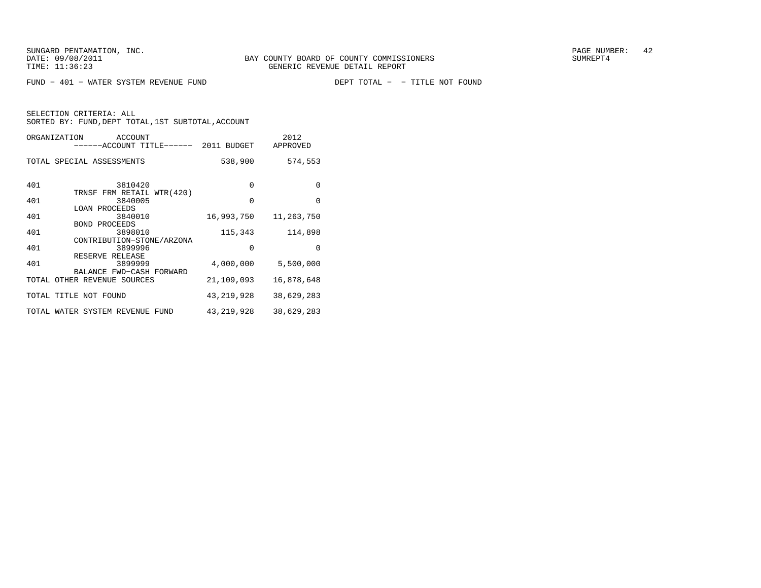FUND - 401 - WATER SYSTEM REVENUE FUND

DEPT TOTAL - - TITLE NOT FOUND

SELECTION CRITERIA: ALL

SORTED BY: FUND, DEPT TOTAL, 1ST SUBTOTAL, ACCOUNT

|     | ORGANIZATION<br>ACCOUNT<br>------ACCOUNT TITLE------ 2011 BUDGET |              | 2012<br>APPROVED |
|-----|------------------------------------------------------------------|--------------|------------------|
|     | TOTAL SPECIAL ASSESSMENTS                                        | 538,900      | 574,553          |
| 401 | 3810420                                                          | $\Omega$     | $\Omega$         |
| 401 | TRNSF FRM RETAIL WTR(420)<br>3840005                             | $\Omega$     | $\Omega$         |
| 401 | <b>LOAN PROCEEDS</b><br>3840010                                  | 16,993,750   | 11,263,750       |
| 401 | <b>BOND PROCEEDS</b><br>3898010                                  | 115,343      | 114,898          |
| 401 | CONTRIBUTION-STONE/ARZONA<br>3899996                             | $\Omega$     | $\Omega$         |
| 401 | RESERVE RELEASE<br>3899999<br>BALANCE FWD-CASH FORWARD           | 4,000,000    | 5,500,000        |
|     | TOTAL OTHER REVENUE SOURCES                                      | 21,109,093   | 16,878,648       |
|     | TOTAL TITLE NOT FOUND                                            | 43,219,928   | 38,629,283       |
|     | TOTAL WATER SYSTEM REVENUE FUND                                  | 43, 219, 928 | 38,629,283       |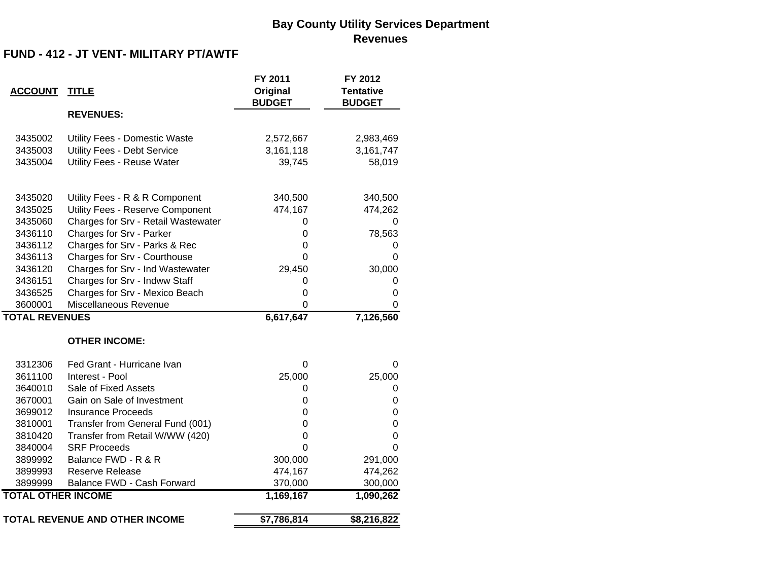## **Bay County Utility Services Department Revenues**

## **FUND - 412 - JT VENT- MILITARY PT/AWTF**

| <b>ACCOUNT</b>            | <b>TITLE</b>                        | FY 2011<br>Original<br><b>BUDGET</b> | FY 2012<br><b>Tentative</b><br><b>BUDGET</b> |
|---------------------------|-------------------------------------|--------------------------------------|----------------------------------------------|
|                           | <b>REVENUES:</b>                    |                                      |                                              |
| 3435002                   | Utility Fees - Domestic Waste       | 2,572,667                            | 2,983,469                                    |
| 3435003                   | Utility Fees - Debt Service         | 3,161,118                            | 3,161,747                                    |
| 3435004                   | <b>Utility Fees - Reuse Water</b>   | 39,745                               | 58,019                                       |
| 3435020                   | Utility Fees - R & R Component      | 340,500                              | 340,500                                      |
| 3435025                   | Utility Fees - Reserve Component    | 474,167                              | 474,262                                      |
| 3435060                   | Charges for Srv - Retail Wastewater | 0                                    | 0                                            |
| 3436110                   | Charges for Srv - Parker            | 0                                    | 78,563                                       |
| 3436112                   | Charges for Srv - Parks & Rec       | 0                                    | 0                                            |
| 3436113                   | Charges for Srv - Courthouse        | 0                                    | 0                                            |
| 3436120                   | Charges for Srv - Ind Wastewater    | 29,450                               | 30,000                                       |
| 3436151                   | Charges for Srv - Indww Staff       | 0                                    | 0                                            |
| 3436525                   | Charges for Srv - Mexico Beach      | 0                                    | $\boldsymbol{0}$                             |
| 3600001                   | Miscellaneous Revenue               | 0                                    | 0                                            |
| <b>TOTAL REVENUES</b>     |                                     | 6,617,647                            | 7,126,560                                    |
|                           | <b>OTHER INCOME:</b>                |                                      |                                              |
| 3312306                   | Fed Grant - Hurricane Ivan          | 0                                    | 0                                            |
| 3611100                   | Interest - Pool                     | 25,000                               | 25,000                                       |
| 3640010                   | Sale of Fixed Assets                | 0                                    | 0                                            |
| 3670001                   | Gain on Sale of Investment          | 0                                    | $\mathbf 0$                                  |
| 3699012                   | <b>Insurance Proceeds</b>           | 0                                    | $\mathbf 0$                                  |
| 3810001                   | Transfer from General Fund (001)    | 0                                    | $\boldsymbol{0}$                             |
| 3810420                   | Transfer from Retail W/WW (420)     | 0                                    | $\mathbf 0$                                  |
| 3840004                   | <b>SRF Proceeds</b>                 | 0                                    | $\Omega$                                     |
| 3899992                   | Balance FWD - R & R                 | 300,000                              | 291,000                                      |
| 3899993                   | <b>Reserve Release</b>              | 474,167                              | 474,262                                      |
| 3899999                   | Balance FWD - Cash Forward          | 370,000                              | 300,000                                      |
| <b>TOTAL OTHER INCOME</b> |                                     | 1,169,167                            | 1,090,262                                    |
|                           | TOTAL REVENUE AND OTHER INCOME      | \$7,786,814                          | \$8,216,822                                  |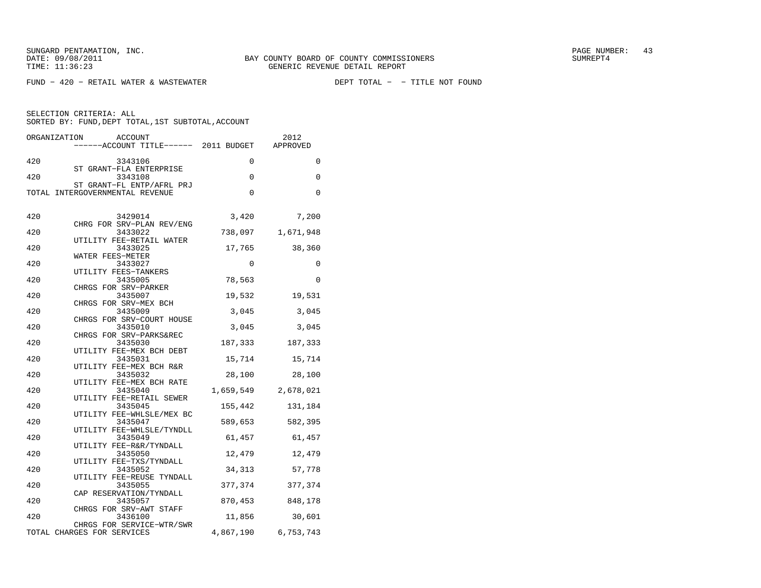$FUND - 420 - RETAIL WATER & WASTEWATER$ 

DEPT TOTAL - - TITLE NOT FOUND

| ORGANIZATION | <b>ACCOUNT</b><br>------ACCOUNT TITLE------ 2011 BUDGET      |             | 2012<br>APPROVED    |
|--------------|--------------------------------------------------------------|-------------|---------------------|
| 420          | 3343106                                                      | 0           | 0                   |
| 420          | ST GRANT-FLA ENTERPRISE<br>3343108                           | $\mathbf 0$ | $\mathbf 0$         |
|              | ST GRANT-FL ENTP/AFRL PRJ<br>TOTAL INTERGOVERNMENTAL REVENUE | $\mathbf 0$ | $\Omega$            |
| 420          | 3429014<br>CHRG FOR SRV-PLAN REV/ENG                         | 3,420       | 7,200               |
| 420          | 3433022                                                      | 738,097     | 1,671,948           |
| 420          | UTILITY FEE-RETAIL WATER<br>3433025                          | 17,765      | 38,360              |
| 420          | WATER FEES-METER<br>3433027                                  | 0           | 0                   |
| 420          | UTILITY FEES-TANKERS<br>3435005                              | 78,563      | $\mathbf 0$         |
| 420          | CHRGS FOR SRV-PARKER<br>3435007                              | 19,532      | 19,531              |
| 420          | CHRGS FOR SRV-MEX BCH<br>3435009                             | 3,045       | 3,045               |
| 420          | CHRGS FOR SRV-COURT HOUSE<br>3435010                         | 3,045       | 3,045               |
| 420          | CHRGS FOR SRV-PARKS&REC<br>3435030                           | 187,333     | 187,333             |
| 420          | UTILITY FEE-MEX BCH DEBT<br>3435031                          | 15,714      | 15,714              |
| 420          | UTILITY FEE-MEX BCH R&R<br>3435032                           | 28,100      | 28,100              |
| 420          | UTILITY FEE-MEX BCH RATE<br>3435040                          |             | 1,659,549 2,678,021 |
| 420          | UTILITY FEE-RETAIL SEWER<br>3435045                          | 155,442     | 131,184             |
| 420          | UTILITY FEE-WHLSLE/MEX BC<br>3435047                         | 589,653     | 582,395             |
| 420          | UTILITY FEE-WHLSLE/TYNDLL<br>3435049                         |             |                     |
|              | UTILITY FEE-R&R/TYNDALL                                      | 61,457      | 61,457              |
| 420          | 3435050<br>UTILITY FEE-TXS/TYNDALL                           | 12,479      | 12,479              |
| 420          | 3435052<br>UTILITY FEE-REUSE TYNDALL                         | 34,313      | 57,778              |
| 420          | 3435055<br>CAP RESERVATION/TYNDALL                           | 377,374     | 377,374             |
| 420          | 3435057<br>CHRGS FOR SRV-AWT STAFF                           |             | 870,453 848,178     |
| 420          | 3436100<br>CHRGS FOR SERVICE-WTR/SWR                         |             | 11,856 30,601       |
|              | TOTAL CHARGES FOR SERVICES                                   |             | 4,867,190 6,753,743 |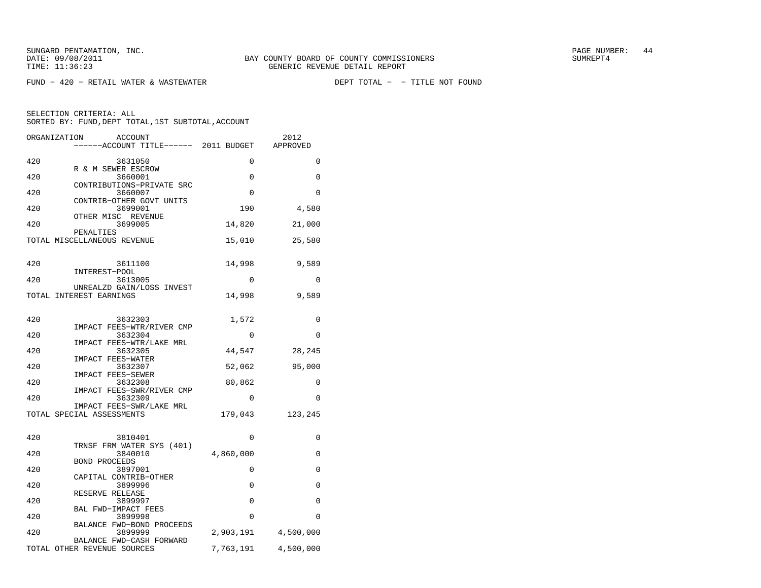SUNGARD PENTAMATION, INC.<br>
BAY COUNTY BOARD OF COUNTY COMMISSIONERS AND SUNREPT4 SUMREPT4

 $FUND - 420 - RETAIL WATER & WASTEWATER$ 

DEPT TOTAL - - TITLE NOT FOUND

| ORGANIZATION<br><b>ACCOUNT</b><br>------ACCOUNT TITLE------ 2011 BUDGET |             | 2012<br>APPROVED    |
|-------------------------------------------------------------------------|-------------|---------------------|
| 420<br>3631050                                                          | 0           | 0                   |
| R & M SEWER ESCROW<br>420<br>3660001                                    | 0           | 0                   |
| CONTRIBUTIONS-PRIVATE SRC<br>420<br>3660007                             | 0           | $\Omega$            |
| CONTRIB-OTHER GOVT UNITS<br>420<br>3699001                              | 190         | 4,580               |
| OTHER MISC REVENUE<br>420<br>3699005                                    | 14,820      | 21,000              |
| PENALTIES<br>TOTAL MISCELLANEOUS REVENUE                                | 15,010      | 25,580              |
| 420<br>3611100                                                          | 14,998      | 9,589               |
| INTEREST-POOL<br>420<br>3613005                                         | 0           | 0                   |
| UNREALZD GAIN/LOSS INVEST<br>TOTAL INTEREST EARNINGS                    | 14,998      | 9,589               |
|                                                                         |             |                     |
| 420<br>3632303<br>IMPACT FEES-WTR/RIVER CMP                             | 1,572       | 0                   |
| 420<br>3632304<br>IMPACT FEES-WTR/LAKE MRL                              | $\mathbf 0$ | $\Omega$            |
| 420<br>3632305<br>IMPACT FEES-WATER                                     | 44,547      | 28,245              |
| 420<br>3632307<br>IMPACT FEES-SEWER                                     | 52,062      | 95,000              |
| 420<br>3632308                                                          | 80,862      | 0                   |
| IMPACT FEES-SWR/RIVER CMP<br>420<br>3632309                             | $\Omega$    | $\Omega$            |
| IMPACT FEES-SWR/LAKE MRL<br>TOTAL SPECIAL ASSESSMENTS                   | 179,043     | 123,245             |
| 420<br>3810401                                                          | 0           | 0                   |
| TRNSF FRM WATER SYS (401)<br>420<br>3840010                             | 4,860,000   | 0                   |
| <b>BOND PROCEEDS</b><br>420<br>3897001                                  | 0           | $\Omega$            |
| CAPITAL CONTRIB-OTHER<br>420                                            | $\Omega$    |                     |
| 3899996<br>RESERVE RELEASE                                              |             | 0                   |
| 420<br>3899997<br>BAL FWD-IMPACT FEES                                   | $\mathbf 0$ | 0                   |
| 420<br>3899998<br>BALANCE FWD-BOND PROCEEDS                             | 0           | $\Omega$            |
| 420<br>3899999<br>BALANCE FWD-CASH FORWARD                              |             | 2,903,191 4,500,000 |
| TOTAL OTHER REVENUE SOURCES                                             | 7,763,191   | 4,500,000           |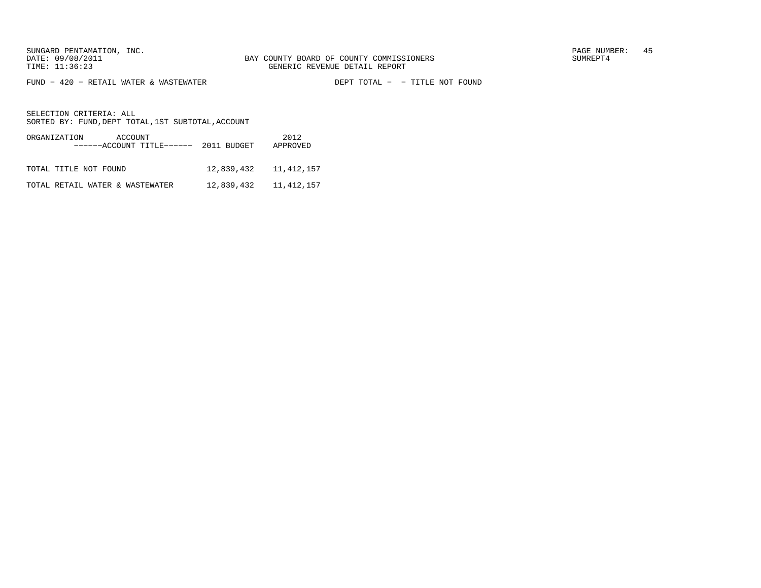FUND − 420 − RETAIL WATER & WASTEWATER DEPT TOTAL − − TITLE NOT FOUND

SELECTION CRITERIA: ALLSORTED BY: FUND, DEPT TOTAL, 1ST SUBTOTAL, ACCOUNT

ORGANIZATION ACCOUNT 2012 −−−−−−ACCOUNT TITLE−−−−−− 2011 BUDGET APPROVED TOTAL TITLE NOT FOUND 12,839,432 11,412,157 TOTAL RETAIL WATER & WASTEWATER 12,839,432 11,412,157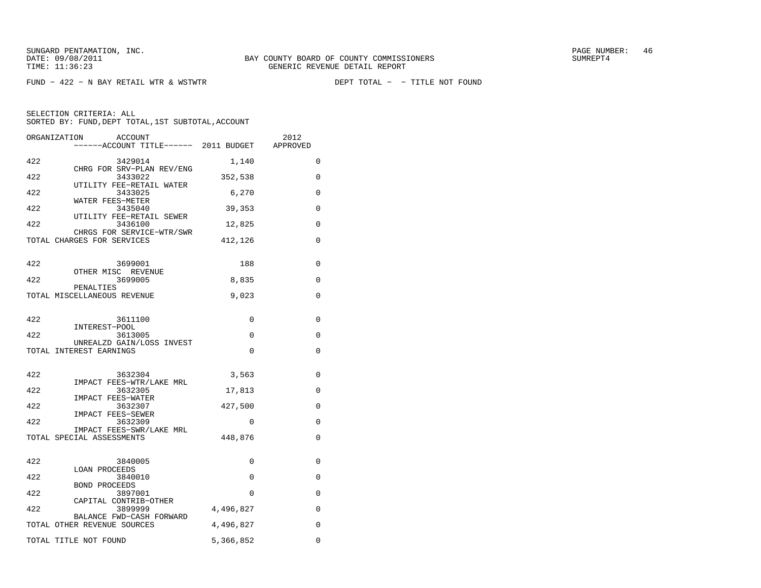$FUND - 422 - N BAY RETAIL WTR & WSTWTR$ 

|     | ORGANIZATION<br><b>ACCOUNT</b><br>------ACCOUNT TITLE------ 2011 BUDGET APPROVED |             | 2012        |
|-----|----------------------------------------------------------------------------------|-------------|-------------|
| 422 | 3429014                                                                          | 1,140       | $\mathbf 0$ |
| 422 | CHRG FOR SRV-PLAN REV/ENG<br>3433022                                             | 352,538     | $\mathbf 0$ |
| 422 | UTILITY FEE-RETAIL WATER<br>3433025                                              | 6,270       | $\Omega$    |
| 422 | WATER FEES-METER<br>3435040                                                      | 39,353      | 0           |
| 422 | UTILITY FEE-RETAIL SEWER<br>3436100                                              | 12,825      | $\Omega$    |
|     | CHRGS FOR SERVICE-WTR/SWR<br>TOTAL CHARGES FOR SERVICES                          | 412,126     | 0           |
| 422 | 3699001                                                                          | 188         | 0           |
| 422 | OTHER MISC REVENUE<br>3699005                                                    | 8,835       | 0           |
|     | PENALTIES<br>TOTAL MISCELLANEOUS REVENUE                                         | 9,023       | 0           |
| 422 | 3611100                                                                          | 0           | 0           |
| 422 | INTEREST-POOL<br>3613005                                                         | 0           | 0           |
|     | UNREALZD GAIN/LOSS INVEST<br>TOTAL INTEREST EARNINGS                             | $\mathbf 0$ | 0           |
| 422 | 3632304                                                                          | 3,563       | 0           |
| 422 | IMPACT FEES-WTR/LAKE MRL<br>3632305                                              | 17,813      | 0           |
| 422 | IMPACT FEES-WATER<br>3632307                                                     | 427,500     | 0           |
| 422 | IMPACT FEES-SEWER<br>3632309                                                     | 0           | 0           |
|     | IMPACT FEES-SWR/LAKE MRL<br>TOTAL SPECIAL ASSESSMENTS                            | 448,876     | 0           |
|     |                                                                                  |             |             |
| 422 | 3840005<br>LOAN PROCEEDS                                                         | 0           | 0           |
| 422 | 3840010<br><b>BOND PROCEEDS</b>                                                  | 0           | 0           |
| 422 | 3897001<br>CAPITAL CONTRIB-OTHER                                                 | 0           | 0           |
| 422 | 3899999                                                                          | 4,496,827   | 0           |
|     | BALANCE FWD-CASH FORWARD<br>TOTAL OTHER REVENUE SOURCES                          | 4,496,827   | 0           |
|     | TOTAL TITLE NOT FOUND                                                            | 5,366,852   | 0           |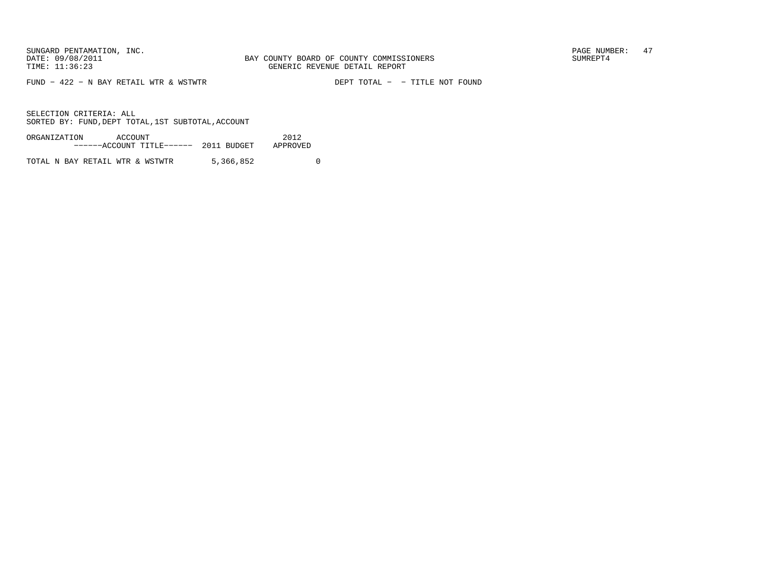FUND  $-$  422  $-$  N BAY RETAIL WTR & WSTWTR

DEPT TOTAL - - TITLE NOT FOUND

SELECTION CRITERIA: ALLSORTED BY: FUND, DEPT TOTAL, 1ST SUBTOTAL, ACCOUNT

| ORGANIZATION | ACCOUNT |                                   |  | 2012     |
|--------------|---------|-----------------------------------|--|----------|
|              |         | $---ACCOVINT TITLE---2011 BUDGET$ |  | APPROVED |
|              |         |                                   |  |          |

TOTAL N BAY RETAIL WTR & WSTWTR 5,366,852 0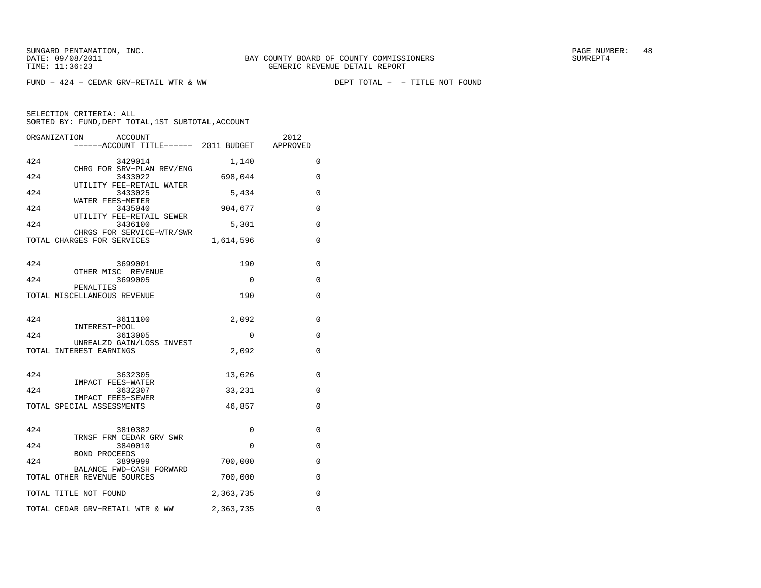$FUND - 424 - CEDAR GRV-RETAIL WTR & WW$ 

|     | ORGANIZATION<br>ACCOUNT<br>------ACCOUNT TITLE------ 2011 BUDGET APPROVED |           | 2012     |
|-----|---------------------------------------------------------------------------|-----------|----------|
| 424 | 3429014                                                                   | 1,140     | 0        |
| 424 | CHRG FOR SRV-PLAN REV/ENG<br>3433022                                      | 698,044   | 0        |
| 424 | UTILITY FEE-RETAIL WATER<br>3433025                                       | 5,434     | 0        |
| 424 | WATER FEES-METER<br>3435040                                               | 904,677   | 0        |
|     | UTILITY FEE-RETAIL SEWER                                                  |           |          |
| 424 | 3436100<br>CHRGS FOR SERVICE-WTR/SWR                                      | 5,301     | 0        |
|     | TOTAL CHARGES FOR SERVICES                                                | 1,614,596 | 0        |
| 424 | 3699001                                                                   | 190       | 0        |
| 424 | OTHER MISC REVENUE<br>3699005                                             | $\Omega$  | 0        |
|     | PENALTIES                                                                 |           |          |
|     | TOTAL MISCELLANEOUS REVENUE                                               | 190       | 0        |
| 424 | 3611100                                                                   | 2,092     | 0        |
| 424 | INTEREST-POOL<br>3613005                                                  | 0         | 0        |
|     | UNREALZD GAIN/LOSS INVEST<br>TOTAL INTEREST EARNINGS                      | 2,092     | 0        |
|     |                                                                           |           |          |
| 424 | 3632305<br>IMPACT FEES-WATER                                              | 13,626    | 0        |
| 424 | 3632307                                                                   | 33,231    | 0        |
|     | IMPACT FEES-SEWER<br>TOTAL SPECIAL ASSESSMENTS                            | 46,857    | $\Omega$ |
|     |                                                                           |           |          |
| 424 | 3810382<br>TRNSF FRM CEDAR GRV SWR                                        | 0         | 0        |
| 424 | 3840010                                                                   | 0         | 0        |
| 424 | BOND PROCEEDS<br>3899999                                                  | 700,000   | 0        |
|     | BALANCE FWD-CASH FORWARD<br>TOTAL OTHER REVENUE SOURCES                   | 700,000   | 0        |
|     | TOTAL TITLE NOT FOUND                                                     | 2,363,735 | 0        |
|     | TOTAL CEDAR GRV-RETAIL WTR & WW                                           | 2,363,735 | $\Omega$ |
|     |                                                                           |           |          |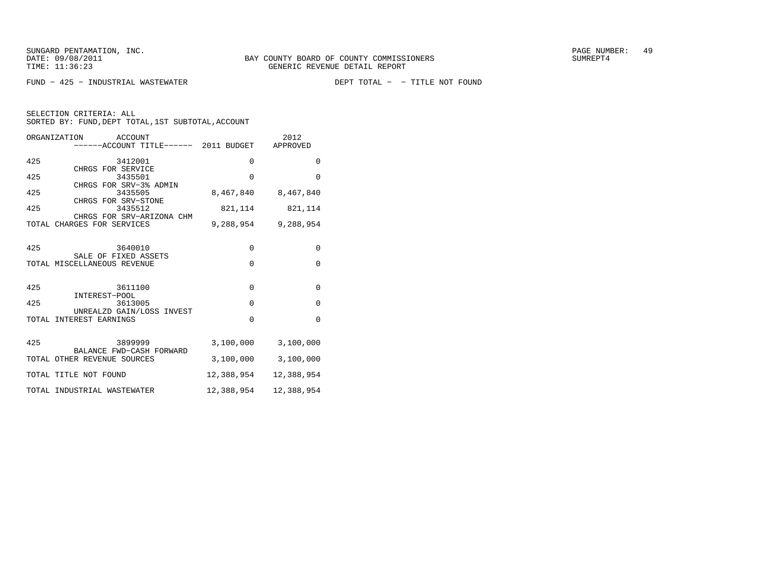FUND − 425 − INDUSTRIAL WASTEWATER

DEPT TOTAL - - TITLE NOT FOUND

| ORGANIZATION ACCOUNT        | ------ACCOUNT TITLE------ 2011 BUDGET APPROVED |             | 2012                |
|-----------------------------|------------------------------------------------|-------------|---------------------|
| 425                         | 3412001                                        | $\mathbf 0$ | $\mathbf{0}$        |
| 425                         | CHRGS FOR SERVICE<br>3435501                   | $\Omega$    | $\Omega$            |
| 425                         | CHRGS FOR SRV-3% ADMIN<br>3435505              |             | 8,467,840 8,467,840 |
| 425                         | CHRGS FOR SRV-STONE<br>3435512                 |             | 821, 114 821, 114   |
| TOTAL CHARGES FOR SERVICES  | CHRGS FOR SRV-ARIZONA CHM                      |             | 9,288,954 9,288,954 |
| 425                         | 3640010                                        | $\mathbf 0$ |                     |
|                             | SALE OF FIXED ASSETS                           |             | 0                   |
| TOTAL MISCELLANEOUS REVENUE |                                                | $\Omega$    | $\mathbf{0}$        |
| 425                         | 3611100                                        | $\Omega$    | $\Omega$            |
| 425                         | INTEREST-POOL<br>3613005                       | 0           | 0                   |
| TOTAL INTEREST EARNINGS     | UNREALZD GAIN/LOSS INVEST                      | $\Omega$    | $\Omega$            |
|                             |                                                |             |                     |
| 425                         | 3899999<br>BALANCE FWD-CASH FORWARD            | 3,100,000   | 3,100,000           |
| TOTAL OTHER REVENUE SOURCES |                                                | 3,100,000   | 3,100,000           |
| TOTAL TITLE NOT FOUND       |                                                | 12,388,954  | 12,388,954          |
| TOTAL INDUSTRIAL WASTEWATER |                                                | 12,388,954  | 12,388,954          |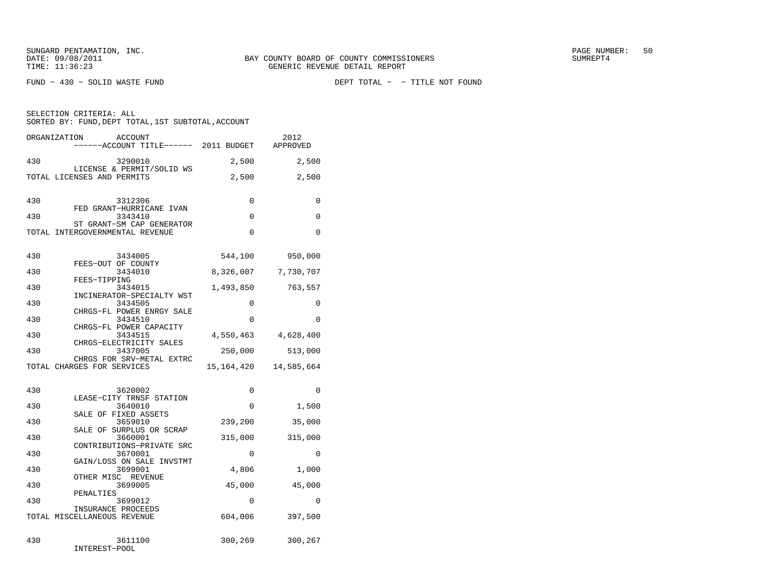FUND − 430 − SOLID WASTE FUND DEPT TOTAL − − TITLE NOT FOUND

| SELECTION CRITERIA: ALL | SORTED BY: FUND, DEPT TOTAL, 1ST SUBTOTAL, ACCOUNT |      |
|-------------------------|----------------------------------------------------|------|
| ORGANIZATION            | ACCOUNT                                            | 2012 |

|     | ------ACCOUNT TITLE------ 2011 BUDGET                       |            | APPROVED            |
|-----|-------------------------------------------------------------|------------|---------------------|
| 430 | 3290010<br>LICENSE & PERMIT/SOLID WS                        | 2,500      | 2,500               |
|     | TOTAL LICENSES AND PERMITS                                  | 2,500      | 2,500               |
| 430 | 3312306<br>FED GRANT-HURRICANE IVAN                         | 0          | 0                   |
| 430 | 3343410<br>ST GRANT-SM CAP GENERATOR                        | $\Omega$   | $\Omega$            |
|     | TOTAL INTERGOVERNMENTAL REVENUE                             | 0          | 0                   |
| 430 | 3434005<br>FEES-OUT OF COUNTY                               | 544,100    | 950,000             |
| 430 | 3434010<br>FEES-TIPPING                                     | 8,326,007  | 7,730,707           |
| 430 | 3434015<br>INCINERATOR-SPECIALTY WST                        | 1,493,850  | 763,557             |
| 430 | 3434505<br>CHRGS-FL POWER ENRGY SALE                        | 0          | $\Omega$            |
| 430 | 3434510<br>CHRGS-FL POWER CAPACITY                          | 0          | 0                   |
| 430 | 3434515<br>CHRGS-ELECTRICITY SALES                          |            | 4,550,463 4,628,400 |
| 430 | 3437005<br>CHRGS FOR SRV-METAL EXTRC                        | 250,000    | 513,000             |
|     | TOTAL CHARGES FOR SERVICES                                  | 15,164,420 | 14,585,664          |
| 430 | 3620002                                                     | 0          | 0                   |
| 430 | LEASE-CITY TRNSF STATION<br>3640010<br>SALE OF FIXED ASSETS | 0          | 1,500               |
| 430 | 3659010<br>SALE OF SURPLUS OR SCRAP                         | 239,200    | 35,000              |
| 430 | 3660001<br>CONTRIBUTIONS-PRIVATE SRC                        | 315,000    | 315,000             |
| 430 | 3670001<br>GAIN/LOSS ON SALE INVSTMT                        | 0          | 0                   |
| 430 | 3699001<br>OTHER MISC REVENUE                               | 4,806      | 1,000               |
| 430 | 3699005<br>PENALTIES                                        | 45,000     | 45,000              |
| 430 | 3699012<br>INSURANCE PROCEEDS                               | $\Omega$   | $\Omega$            |
|     | TOTAL MISCELLANEOUS REVENUE                                 | 604,006    | 397,500             |
| 430 | 3611100<br>INTEREST-POOL                                    | 300,269    | 300,267             |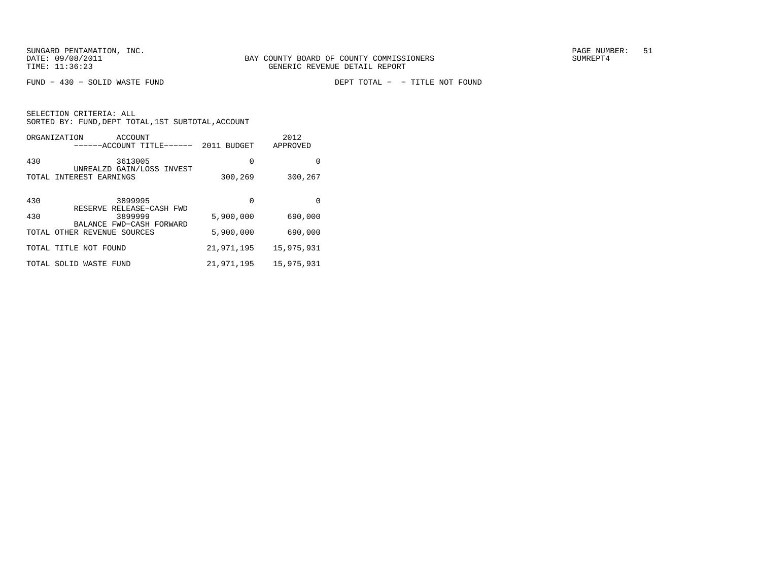FUND − 430 − SOLID WASTE FUND DEPT TOTAL − − TITLE NOT FOUND

|       | ORGANIZATION<br>ACCOUNT<br>-----ACCOUNT TITLE------  | 2011<br><b>BUDGET</b> | 2012<br>APPROVED |
|-------|------------------------------------------------------|-----------------------|------------------|
| 430   | 3613005                                              | $\Omega$              | 0                |
|       | UNREALZD GAIN/LOSS INVEST<br>TOTAL INTEREST EARNINGS | 300,269               | 300,267          |
|       |                                                      |                       |                  |
| 430   | 3899995<br>RESERVE RELEASE-CASH FWD                  | 0                     | $\Omega$         |
| 430   | 3899999                                              | 5,900,000             | 690,000          |
| TOTAL | BALANCE FWD-CASH FORWARD<br>OTHER REVENUE SOURCES    | 5,900,000             | 690,000          |
|       | TOTAL TITLE NOT FOUND                                | 21,971,195            | 15,975,931       |
| TOTAL | SOLID WASTE FUND                                     | 21,971,195            | 15,975,931       |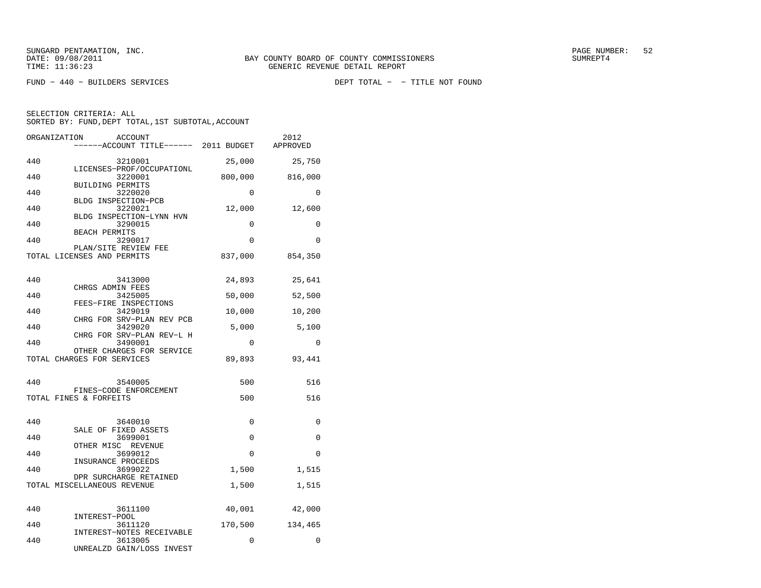| ORGANIZATION | <b>ACCOUNT</b><br>------ACCOUNT TITLE------ 2011 BUDGET |          | 2012<br>APPROVED |
|--------------|---------------------------------------------------------|----------|------------------|
| 440          | 3210001                                                 | 25,000   | 25,750           |
| 440          | LICENSES-PROF/OCCUPATIONL<br>3220001                    | 800,000  | 816,000          |
| 440          | BUILDING PERMITS<br>3220020                             | 0        | $\Omega$         |
| 440          | BLDG INSPECTION-PCB<br>3220021                          | 12,000   | 12,600           |
| 440          | BLDG INSPECTION-LYNN HVN<br>3290015                     | 0        | 0                |
| 440          | <b>BEACH PERMITS</b><br>3290017                         | 0        | $\Omega$         |
|              | PLAN/SITE REVIEW FEE                                    |          |                  |
|              | TOTAL LICENSES AND PERMITS                              | 837,000  | 854,350          |
| 440          | 3413000                                                 | 24,893   | 25,641           |
| 440          | CHRGS ADMIN FEES<br>3425005                             | 50,000   | 52,500           |
| 440          | FEES-FIRE INSPECTIONS<br>3429019                        | 10,000   | 10,200           |
| 440          | CHRG FOR SRV-PLAN REV PCB<br>3429020                    | 5,000    | 5,100            |
|              | CHRG FOR SRV-PLAN REV-L H                               |          |                  |
| 440          | 3490001<br>OTHER CHARGES FOR SERVICE                    | 0        | $\Omega$         |
|              | TOTAL CHARGES FOR SERVICES                              | 89,893   | 93,441           |
| 440          | 3540005                                                 | 500      | 516              |
|              | FINES-CODE ENFORCEMENT                                  |          |                  |
|              | TOTAL FINES & FORFEITS                                  | 500      | 516              |
| 440          | 3640010                                                 | 0        | $\mathbf 0$      |
| 440          | SALE OF FIXED ASSETS<br>3699001                         | 0        | 0                |
| 440          | OTHER MISC REVENUE<br>3699012                           | $\Omega$ | $\Omega$         |
| 440          | INSURANCE PROCEEDS<br>3699022                           | 1,500    | 1,515            |
|              | DPR SURCHARGE RETAINED<br>TOTAL MISCELLANEOUS REVENUE   | 1,500    | 1,515            |
|              |                                                         |          |                  |
| 440          | 3611100<br>INTEREST-POOL                                | 40,001   | 42,000           |
| 440          | 3611120                                                 | 170,500  | 134,465          |
| 440          | INTEREST-NOTES RECEIVABLE<br>3613005                    | 0        | 0                |
|              | UNREALZD GAIN/LOSS INVEST                               |          |                  |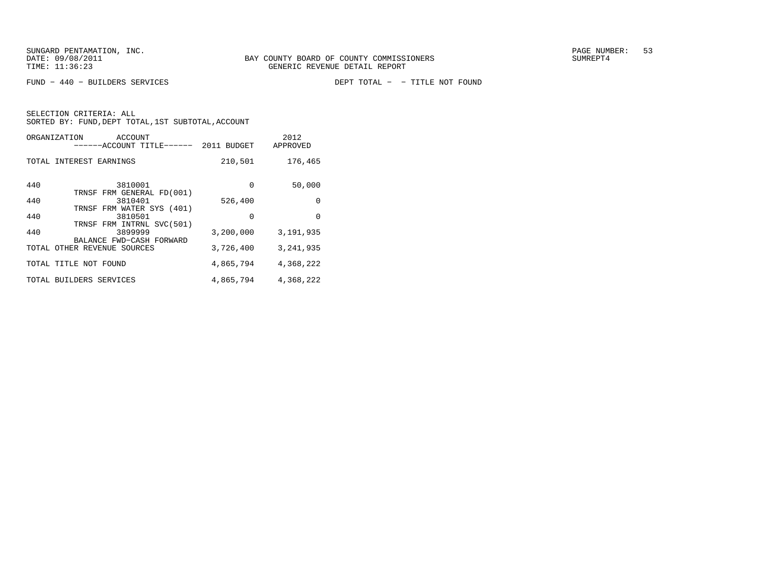FUND − 440 − BUILDERS SERVICES DEPT TOTAL − − TITLE NOT FOUND

|       | ORGANIZATION<br>ACCOUNT<br>-----ACCOUNT TITLE------               | 2011 BUDGET | 2012<br>APPROVED |
|-------|-------------------------------------------------------------------|-------------|------------------|
|       | TOTAL INTEREST EARNINGS                                           | 210,501     | 176,465          |
| 440   | 3810001<br>TRNSF FRM GENERAL FD(001)                              | $\Omega$    | 50,000           |
| 440   | 3810401                                                           | 526,400     | $\Omega$         |
| 440   | TRNSF FRM WATER SYS (401)<br>3810501<br>TRNSF FRM INTRNL SVC(501) | $\Omega$    | $\Omega$         |
| 440   | 3899999                                                           | 3,200,000   | 3,191,935        |
| TOTAL | BALANCE FWD-CASH FORWARD<br>OTHER REVENUE SOURCES                 | 3,726,400   | 3, 241, 935      |
|       | TOTAL TITLE NOT FOUND                                             | 4,865,794   | 4,368,222        |
|       | TOTAL BUILDERS SERVICES                                           | 4,865,794   | 4,368,222        |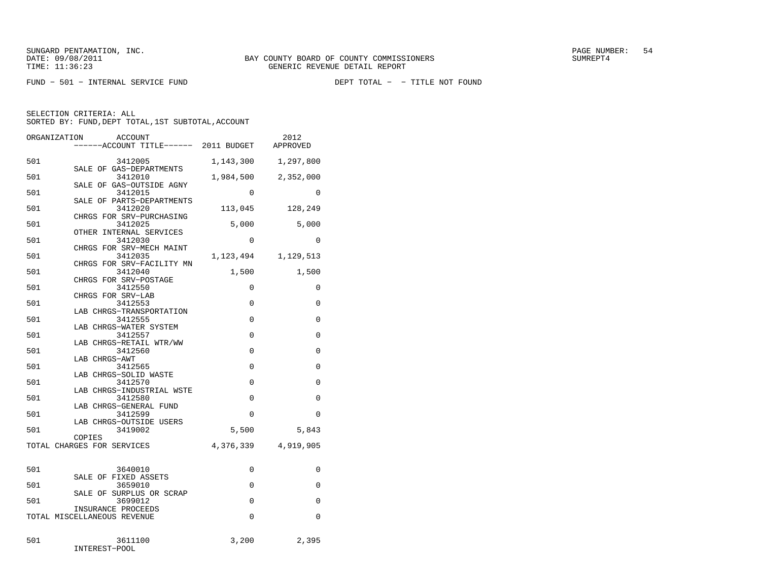FUND − 501 − INTERNAL SERVICE FUND DEPT TOTAL − − TITLE NOT FOUND

SELECTION CRITERIA: ALL

SORTED BY: FUND, DEPT TOTAL, 1ST SUBTOTAL, ACCOUNT

| ORGANIZATION<br><b>ACCOUNT</b>                             | ----ACCOUNT TITLE------ 2011 BUDGET |                         | 2012<br>APPROVED |
|------------------------------------------------------------|-------------------------------------|-------------------------|------------------|
| 501<br>3412005<br>SALE OF GAS-DEPARTMENTS                  |                                     | 1,143,300               | 1,297,800        |
| 501<br>3412010<br>SALE OF GAS-OUTSIDE AGNY                 |                                     | 1,984,500               | 2,352,000        |
| 501<br>3412015<br>SALE OF PARTS-DEPARTMENTS                |                                     | 0                       | $\Omega$         |
| 501<br>3412020<br>CHRGS FOR SRV-PURCHASING                 |                                     | 113,045                 | 128,249          |
| 501<br>3412025<br>OTHER INTERNAL SERVICES                  |                                     | 5,000                   | 5,000            |
| 501<br>3412030<br>CHRGS FOR SRV-MECH MAINT                 |                                     | $\Omega$                | $\Omega$         |
| 3412035<br>501<br>CHRGS FOR SRV-FACILITY MN                |                                     | 1,123,494               | 1,129,513        |
| 501<br>3412040<br>CHRGS FOR SRV-POSTAGE                    |                                     | 1,500                   | 1,500            |
| 501<br>3412550<br>CHRGS FOR SRV-LAB                        |                                     | 0                       | $\mathbf 0$      |
| 501<br>3412553<br>LAB CHRGS-TRANSPORTATION                 |                                     | $\mathbf 0$             | 0                |
| 501<br>3412555<br>LAB CHRGS-WATER SYSTEM<br>501<br>3412557 |                                     | $\mathbf 0$<br>$\Omega$ | 0<br>0           |
| LAB CHRGS-RETAIL WTR/WW<br>501<br>3412560                  |                                     | 0                       | 0                |
| LAB CHRGS-AWT<br>3412565<br>501                            |                                     | $\Omega$                | $\Omega$         |
| LAB CHRGS-SOLID WASTE<br>501<br>3412570                    |                                     | $\Omega$                | 0                |
| LAB CHRGS-INDUSTRIAL WSTE<br>501<br>3412580                |                                     | $\Omega$                | $\Omega$         |
| LAB CHRGS-GENERAL FUND<br>501<br>3412599                   |                                     | 0                       | 0                |
| LAB CHRGS-OUTSIDE USERS<br>3419002<br>501                  |                                     | 5,500                   | 5,843            |
| COPIES<br>TOTAL CHARGES FOR SERVICES                       |                                     | 4,376,339               | 4,919,905        |
| 501<br>3640010                                             |                                     | 0                       | 0                |
| SALE OF FIXED ASSETS<br>3659010<br>501                     |                                     | $\Omega$                | $\Omega$         |
| SALE OF SURPLUS OR SCRAP<br>501<br>3699012                 |                                     | 0                       | 0                |
| INSURANCE PROCEEDS<br>TOTAL MISCELLANEOUS REVENUE          |                                     | 0                       | $\mathbf 0$      |
| 501<br>3611100<br>INTEREST-POOL                            |                                     | 3,200                   | 2,395            |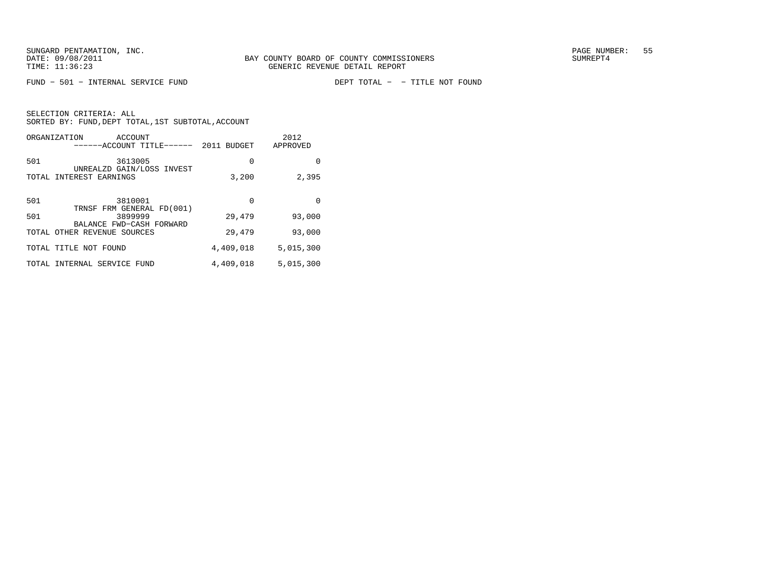FUND - 501 - INTERNAL SERVICE FUND

DEPT TOTAL - - TITLE NOT FOUND

|       | ORGANIZATION<br>ACCOUNT<br>------ACCOUNT TITLE------                                            | 2011<br><b>BUDGET</b> | 2012<br>APPROVED |
|-------|-------------------------------------------------------------------------------------------------|-----------------------|------------------|
| 501   | 3613005                                                                                         | 0                     | 0                |
| TOTAL | UNREALZD GAIN/LOSS INVEST<br>INTEREST EARNINGS                                                  | 3,200                 | 2,395            |
|       |                                                                                                 |                       |                  |
| 501   | 3810001                                                                                         | $\Omega$              | $\Omega$         |
| 501   | TRNSF FRM GENERAL FD(001)<br>3899999<br>BALANCE FWD-CASH FORWARD<br>TOTAL OTHER REVENUE SOURCES | 29,479                | 93,000           |
|       |                                                                                                 | 29,479                | 93,000           |
|       | TOTAL TITLE NOT FOUND                                                                           | 4,409,018             | 5,015,300        |
| TOTAL | INTERNAL SERVICE<br>FUND                                                                        | 4,409,018             | 5,015,300        |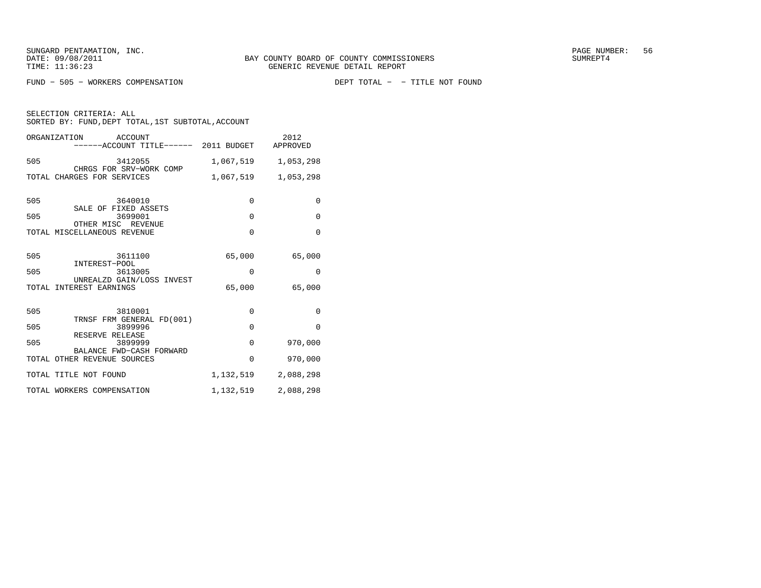FUND - 505 - WORKERS COMPENSATION

DEPT TOTAL - - TITLE NOT FOUND

|     | ORGANIZATION<br>ACCOUNT<br>------ACCOUNT TITLE------ 2011 BUDGET APPROVED |           | 2012        |
|-----|---------------------------------------------------------------------------|-----------|-------------|
| 505 | 3412055                                                                   | 1,067,519 | 1,053,298   |
|     | CHRGS FOR SRV-WORK COMP<br>TOTAL CHARGES FOR SERVICES                     | 1,067,519 | 1,053,298   |
| 505 | 3640010                                                                   | $\Omega$  | $\Omega$    |
| 505 | SALE OF FIXED ASSETS<br>3699001                                           | $\Omega$  | $\mathbf 0$ |
|     | OTHER MISC REVENUE<br>TOTAL MISCELLANEOUS REVENUE                         | $\Omega$  | $\Omega$    |
| 505 | 3611100                                                                   | 65,000    | 65,000      |
| 505 | INTEREST-POOL<br>3613005                                                  | $\Omega$  | $\Omega$    |
|     | UNREALZD GAIN/LOSS INVEST<br>TOTAL INTEREST EARNINGS                      | 65,000    | 65,000      |
| 505 | 3810001<br>TRNSF FRM GENERAL FD(001)                                      | $\Omega$  | $\Omega$    |
| 505 | 3899996                                                                   | $\Omega$  | $\Omega$    |
| 505 | RESERVE RELEASE<br>3899999                                                | $\Omega$  | 970,000     |
|     | BALANCE FWD-CASH FORWARD<br>TOTAL OTHER REVENUE SOURCES                   | $\Omega$  | 970,000     |
|     | TOTAL TITLE NOT FOUND                                                     | 1,132,519 | 2,088,298   |
|     | TOTAL WORKERS COMPENSATION                                                | 1,132,519 | 2,088,298   |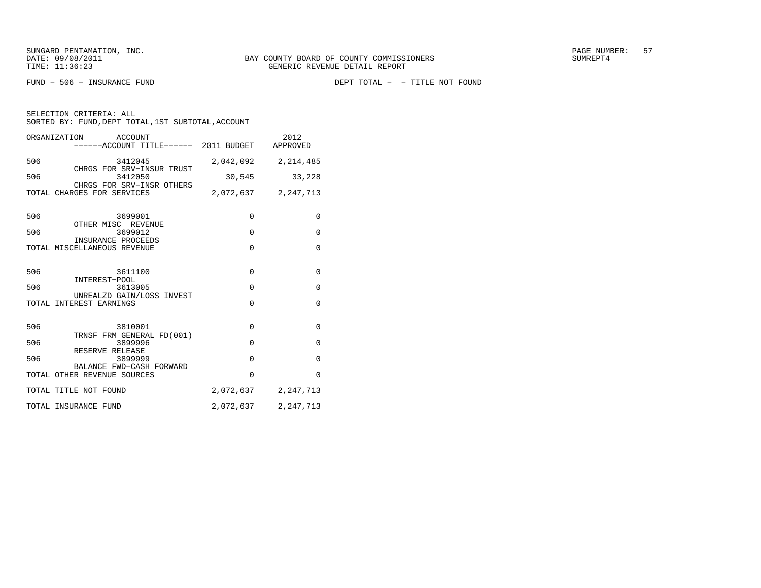FUND − 506 − INSURANCE FUND DEPT TOTAL − − TITLE NOT FOUND

|     | ORGANIZATION<br>ACCOUNT<br>-----ACCOUNT TITLE------ 2011 BUDGET APPROVED |           | 2012                |
|-----|--------------------------------------------------------------------------|-----------|---------------------|
| 506 | 3412045<br>CHRGS FOR SRV-INSUR TRUST                                     |           | 2,042,092 2,214,485 |
| 506 | 3412050<br>CHRGS FOR SRV-INSR OTHERS                                     | 30,545    | 33,228              |
|     | TOTAL CHARGES FOR SERVICES                                               |           | 2,072,637 2,247,713 |
| 506 | 3699001<br>OTHER MISC REVENUE                                            | $\Omega$  | $\Omega$            |
| 506 | 3699012<br>INSURANCE PROCEEDS                                            | $\Omega$  | $\mathbf{0}$        |
|     | TOTAL MISCELLANEOUS REVENUE                                              | $\Omega$  | $\Omega$            |
| 506 | 3611100<br>INTEREST-POOL                                                 | $\Omega$  | 0                   |
| 506 | 3613005                                                                  | $\Omega$  | $\mathbf{0}$        |
|     | UNREALZD GAIN/LOSS INVEST<br>TOTAL INTEREST EARNINGS                     | $\Omega$  | $\Omega$            |
| 506 | 3810001                                                                  | $\Omega$  | $\Omega$            |
| 506 | TRNSF FRM GENERAL FD(001)<br>3899996                                     | $\Omega$  | 0                   |
| 506 | RESERVE RELEASE<br>3899999                                               | $\Omega$  | $\Omega$            |
|     | BALANCE FWD-CASH FORWARD<br>TOTAL OTHER REVENUE SOURCES                  | $\Omega$  | $\Omega$            |
|     | TOTAL TITLE NOT FOUND                                                    |           | 2,072,637 2,247,713 |
|     | TOTAL INSURANCE FUND                                                     | 2,072,637 | 2,247,713           |